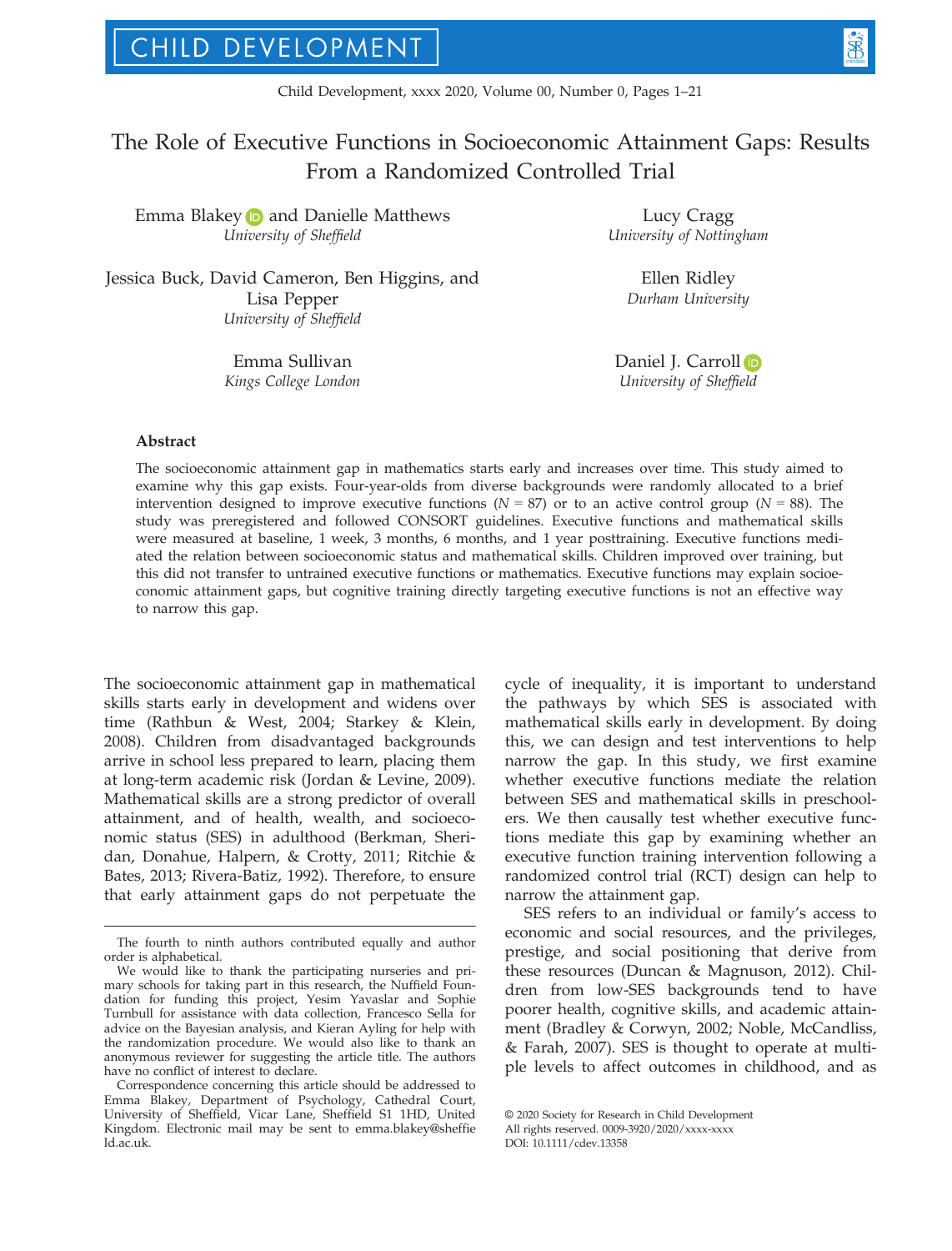# The Role of Executive Functions in Socioeconomic Attainment Gaps: Results From a Randomized Controlled Trial

Emma Blakey  $\Box$  and Danielle Matthews University of Sheffield

Lucy Cragg University of Nottingham

Jessica Buck, David Cameron, Ben Higgins, and Lisa Pepper University of Sheffield

> Emma Sullivan Kings College London

Ellen Ridley Durham University

Danie[l](https://orcid.org/0000-0003-2190-7253) J. Carroll in University of Sheffield

# Abstract

The socioeconomic attainment gap in mathematics starts early and increases over time. This study aimed to examine why this gap exists. Four-year-olds from diverse backgrounds were randomly allocated to a brief intervention designed to improve executive functions ( $N = 87$ ) or to an active control group ( $N = 88$ ). The study was preregistered and followed CONSORT guidelines. Executive functions and mathematical skills were measured at baseline, 1 week, 3 months, 6 months, and 1 year posttraining. Executive functions mediated the relation between socioeconomic status and mathematical skills. Children improved over training, but this did not transfer to untrained executive functions or mathematics. Executive functions may explain socioeconomic attainment gaps, but cognitive training directly targeting executive functions is not an effective way to narrow this gap.

The socioeconomic attainment gap in mathematical skills starts early in development and widens over time (Rathbun & West, 2004; Starkey & Klein, 2008). Children from disadvantaged backgrounds arrive in school less prepared to learn, placing them at long-term academic risk (Jordan & Levine, 2009). Mathematical skills are a strong predictor of overall attainment, and of health, wealth, and socioeconomic status (SES) in adulthood (Berkman, Sheridan, Donahue, Halpern, & Crotty, 2011; Ritchie & Bates, 2013; Rivera-Batiz, 1992). Therefore, to ensure that early attainment gaps do not perpetuate the cycle of inequality, it is important to understand the pathways by which SES is associated with mathematical skills early in development. By doing this, we can design and test interventions to help narrow the gap. In this study, we first examine whether executive functions mediate the relation between SES and mathematical skills in preschoolers. We then causally test whether executive functions mediate this gap by examining whether an executive function training intervention following a randomized control trial (RCT) design can help to narrow the attainment gap.

SES refers to an individual or family's access to economic and social resources, and the privileges, prestige, and social positioning that derive from these resources (Duncan & Magnuson, 2012). Children from low-SES backgrounds tend to have poorer health, cognitive skills, and academic attainment (Bradley & Corwyn, 2002; Noble, McCandliss, & Farah, 2007). SES is thought to operate at multiple levels to affect outcomes in childhood, and as

The fourth to ninth authors contributed equally and author order is alphabetical.

We would like to thank the participating nurseries and primary schools for taking part in this research, the Nuffield Foundation for funding this project, Yesim Yavaslar and Sophie Turnbull for assistance with data collection, Francesco Sella for advice on the Bayesian analysis, and Kieran Ayling for help with the randomization procedure. We would also like to thank an anonymous reviewer for suggesting the article title. The authors have no conflict of interest to declare.

Correspondence concerning this article should be addressed to Emma Blakey, Department of Psychology, Cathedral Court, University of Sheffield, Vicar Lane, Sheffield S1 1HD, United Kingdom. Electronic mail may be sent to [emma.blakey@sheffie](mailto:) [ld.ac.uk.](mailto:)

<sup>©</sup> 2020 Society for Research in Child Development All rights reserved. 0009-3920/2020/xxxx-xxxx DOI: 10.1111/cdev.13358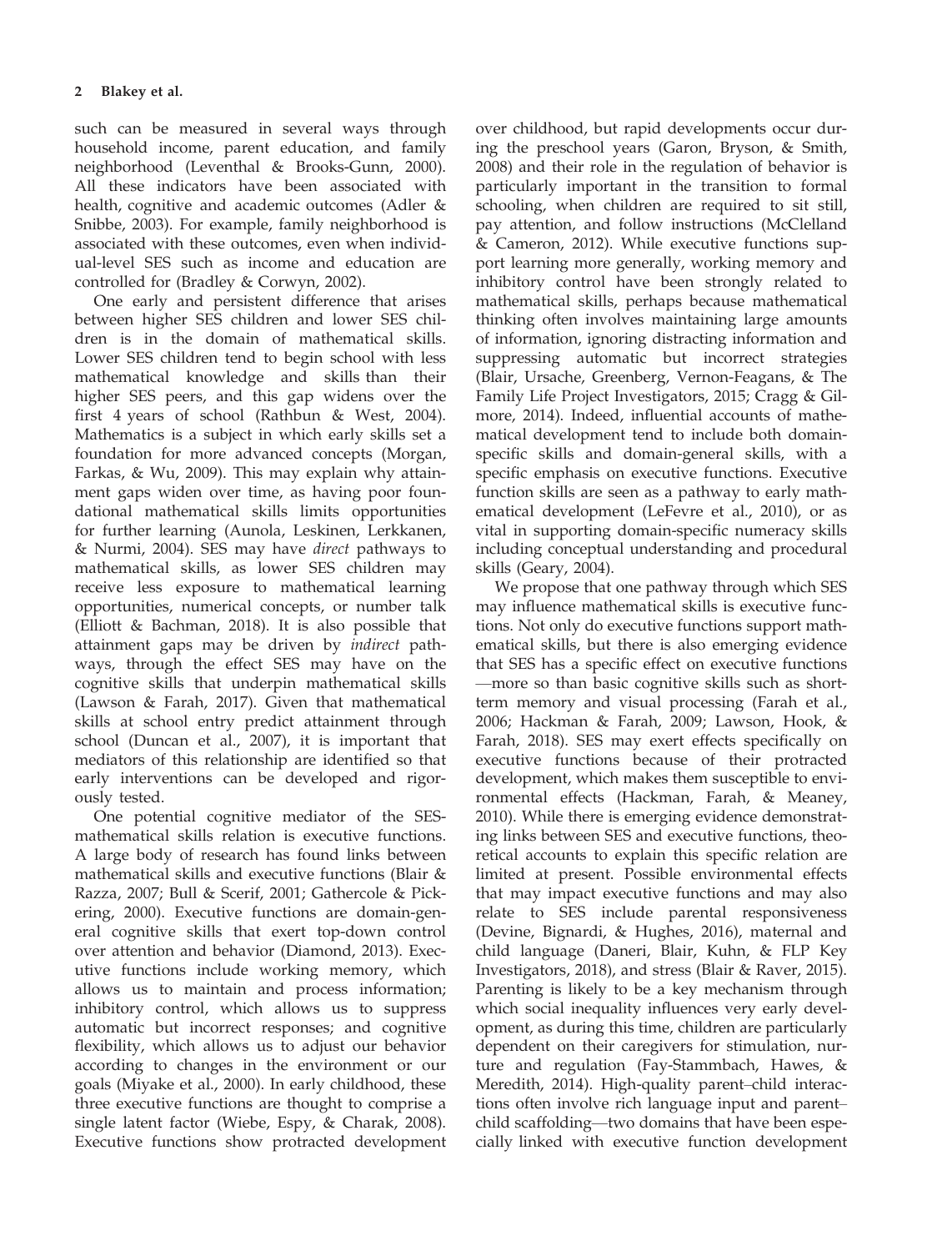such can be measured in several ways through household income, parent education, and family neighborhood (Leventhal & Brooks-Gunn, 2000). All these indicators have been associated with health, cognitive and academic outcomes (Adler & Snibbe, 2003). For example, family neighborhood is associated with these outcomes, even when individual-level SES such as income and education are controlled for (Bradley & Corwyn, 2002).

One early and persistent difference that arises between higher SES children and lower SES children is in the domain of mathematical skills. Lower SES children tend to begin school with less mathematical knowledge and skills than their higher SES peers, and this gap widens over the first 4 years of school (Rathbun & West, 2004). Mathematics is a subject in which early skills set a foundation for more advanced concepts (Morgan, Farkas, & Wu, 2009). This may explain why attainment gaps widen over time, as having poor foundational mathematical skills limits opportunities for further learning (Aunola, Leskinen, Lerkkanen, & Nurmi, 2004). SES may have direct pathways to mathematical skills, as lower SES children may receive less exposure to mathematical learning opportunities, numerical concepts, or number talk (Elliott & Bachman, 2018). It is also possible that attainment gaps may be driven by indirect pathways, through the effect SES may have on the cognitive skills that underpin mathematical skills (Lawson & Farah, 2017). Given that mathematical skills at school entry predict attainment through school (Duncan et al., 2007), it is important that mediators of this relationship are identified so that early interventions can be developed and rigorously tested.

One potential cognitive mediator of the SESmathematical skills relation is executive functions. A large body of research has found links between mathematical skills and executive functions (Blair & Razza, 2007; Bull & Scerif, 2001; Gathercole & Pickering, 2000). Executive functions are domain-general cognitive skills that exert top-down control over attention and behavior (Diamond, 2013). Executive functions include working memory, which allows us to maintain and process information; inhibitory control, which allows us to suppress automatic but incorrect responses; and cognitive flexibility, which allows us to adjust our behavior according to changes in the environment or our goals (Miyake et al., 2000). In early childhood, these three executive functions are thought to comprise a single latent factor (Wiebe, Espy, & Charak, 2008). Executive functions show protracted development

over childhood, but rapid developments occur during the preschool years (Garon, Bryson, & Smith, 2008) and their role in the regulation of behavior is particularly important in the transition to formal schooling, when children are required to sit still, pay attention, and follow instructions (McClelland & Cameron, 2012). While executive functions support learning more generally, working memory and inhibitory control have been strongly related to mathematical skills, perhaps because mathematical thinking often involves maintaining large amounts of information, ignoring distracting information and suppressing automatic but incorrect strategies (Blair, Ursache, Greenberg, Vernon-Feagans, & The Family Life Project Investigators, 2015; Cragg & Gilmore, 2014). Indeed, influential accounts of mathematical development tend to include both domainspecific skills and domain-general skills, with a specific emphasis on executive functions. Executive function skills are seen as a pathway to early mathematical development (LeFevre et al., 2010), or as vital in supporting domain-specific numeracy skills including conceptual understanding and procedural skills (Geary, 2004).

We propose that one pathway through which SES may influence mathematical skills is executive functions. Not only do executive functions support mathematical skills, but there is also emerging evidence that SES has a specific effect on executive functions —more so than basic cognitive skills such as shortterm memory and visual processing (Farah et al., 2006; Hackman & Farah, 2009; Lawson, Hook, & Farah, 2018). SES may exert effects specifically on executive functions because of their protracted development, which makes them susceptible to environmental effects (Hackman, Farah, & Meaney, 2010). While there is emerging evidence demonstrating links between SES and executive functions, theoretical accounts to explain this specific relation are limited at present. Possible environmental effects that may impact executive functions and may also relate to SES include parental responsiveness (Devine, Bignardi, & Hughes, 2016), maternal and child language (Daneri, Blair, Kuhn, & FLP Key Investigators, 2018), and stress (Blair & Raver, 2015). Parenting is likely to be a key mechanism through which social inequality influences very early development, as during this time, children are particularly dependent on their caregivers for stimulation, nurture and regulation (Fay-Stammbach, Hawes, & Meredith, 2014). High-quality parent–child interactions often involve rich language input and parent– child scaffolding—two domains that have been especially linked with executive function development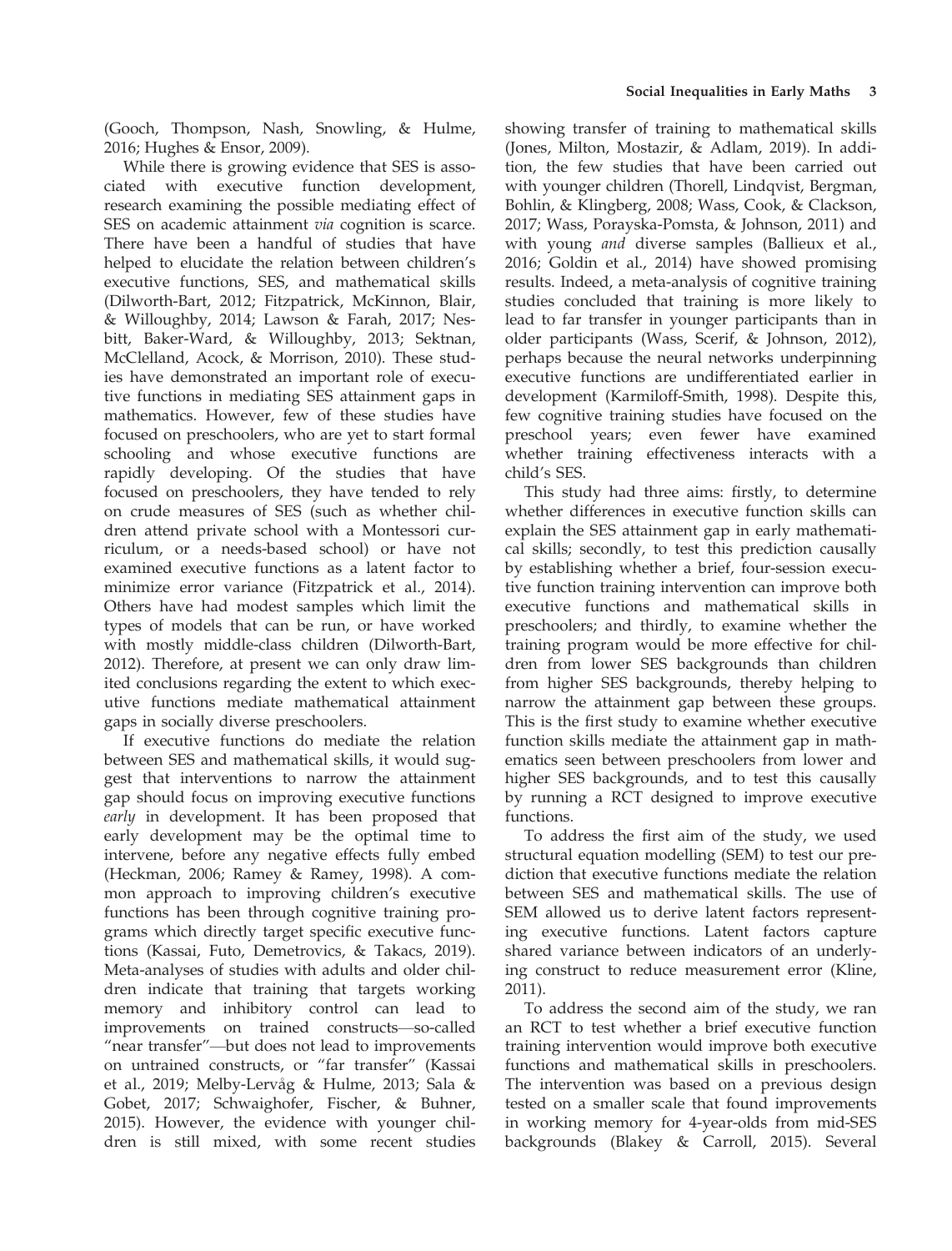(Gooch, Thompson, Nash, Snowling, & Hulme, 2016; Hughes & Ensor, 2009).

While there is growing evidence that SES is associated with executive function development, research examining the possible mediating effect of SES on academic attainment via cognition is scarce. There have been a handful of studies that have helped to elucidate the relation between children's executive functions, SES, and mathematical skills (Dilworth-Bart, 2012; Fitzpatrick, McKinnon, Blair, & Willoughby, 2014; Lawson & Farah, 2017; Nesbitt, Baker-Ward, & Willoughby, 2013; Sektnan, McClelland, Acock, & Morrison, 2010). These studies have demonstrated an important role of executive functions in mediating SES attainment gaps in mathematics. However, few of these studies have focused on preschoolers, who are yet to start formal schooling and whose executive functions are rapidly developing. Of the studies that have focused on preschoolers, they have tended to rely on crude measures of SES (such as whether children attend private school with a Montessori curriculum, or a needs-based school) or have not examined executive functions as a latent factor to minimize error variance (Fitzpatrick et al., 2014). Others have had modest samples which limit the types of models that can be run, or have worked with mostly middle-class children (Dilworth-Bart, 2012). Therefore, at present we can only draw limited conclusions regarding the extent to which executive functions mediate mathematical attainment gaps in socially diverse preschoolers.

If executive functions do mediate the relation between SES and mathematical skills, it would suggest that interventions to narrow the attainment gap should focus on improving executive functions early in development. It has been proposed that early development may be the optimal time to intervene, before any negative effects fully embed (Heckman, 2006; Ramey & Ramey, 1998). A common approach to improving children's executive functions has been through cognitive training programs which directly target specific executive functions (Kassai, Futo, Demetrovics, & Takacs, 2019). Meta-analyses of studies with adults and older children indicate that training that targets working memory and inhibitory control can lead to improvements on trained constructs—so-called "near transfer"—but does not lead to improvements on untrained constructs, or "far transfer" (Kassai et al., 2019; Melby-Lervåg & Hulme, 2013; Sala & Gobet, 2017; Schwaighofer, Fischer, & Buhner, 2015). However, the evidence with younger children is still mixed, with some recent studies

showing transfer of training to mathematical skills (Jones, Milton, Mostazir, & Adlam, 2019). In addition, the few studies that have been carried out with younger children (Thorell, Lindqvist, Bergman, Bohlin, & Klingberg, 2008; Wass, Cook, & Clackson, 2017; Wass, Porayska-Pomsta, & Johnson, 2011) and with young and diverse samples (Ballieux et al., 2016; Goldin et al., 2014) have showed promising results. Indeed, a meta-analysis of cognitive training studies concluded that training is more likely to lead to far transfer in younger participants than in older participants (Wass, Scerif, & Johnson, 2012), perhaps because the neural networks underpinning executive functions are undifferentiated earlier in development (Karmiloff-Smith, 1998). Despite this, few cognitive training studies have focused on the preschool years; even fewer have examined whether training effectiveness interacts with a child's SES.

This study had three aims: firstly, to determine whether differences in executive function skills can explain the SES attainment gap in early mathematical skills; secondly, to test this prediction causally by establishing whether a brief, four-session executive function training intervention can improve both executive functions and mathematical skills in preschoolers; and thirdly, to examine whether the training program would be more effective for children from lower SES backgrounds than children from higher SES backgrounds, thereby helping to narrow the attainment gap between these groups. This is the first study to examine whether executive function skills mediate the attainment gap in mathematics seen between preschoolers from lower and higher SES backgrounds, and to test this causally by running a RCT designed to improve executive functions.

To address the first aim of the study, we used structural equation modelling (SEM) to test our prediction that executive functions mediate the relation between SES and mathematical skills. The use of SEM allowed us to derive latent factors representing executive functions. Latent factors capture shared variance between indicators of an underlying construct to reduce measurement error (Kline, 2011).

To address the second aim of the study, we ran an RCT to test whether a brief executive function training intervention would improve both executive functions and mathematical skills in preschoolers. The intervention was based on a previous design tested on a smaller scale that found improvements in working memory for 4-year-olds from mid-SES backgrounds (Blakey & Carroll, 2015). Several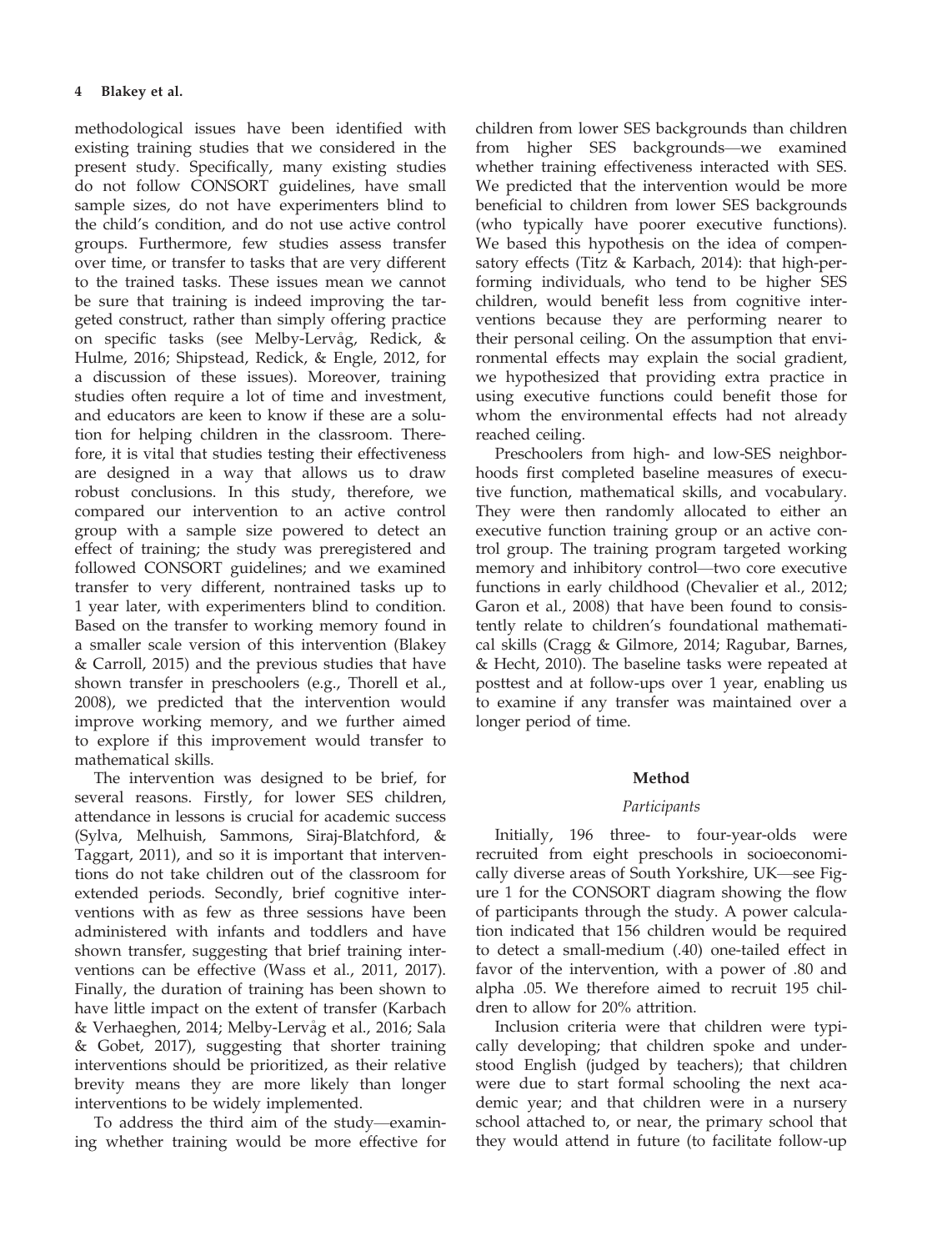methodological issues have been identified with existing training studies that we considered in the present study. Specifically, many existing studies do not follow CONSORT guidelines, have small sample sizes, do not have experimenters blind to the child's condition, and do not use active control groups. Furthermore, few studies assess transfer over time, or transfer to tasks that are very different to the trained tasks. These issues mean we cannot be sure that training is indeed improving the targeted construct, rather than simply offering practice on specific tasks (see Melby-Lervag, Redick, & Hulme, 2016; Shipstead, Redick, & Engle, 2012, for a discussion of these issues). Moreover, training studies often require a lot of time and investment, and educators are keen to know if these are a solution for helping children in the classroom. Therefore, it is vital that studies testing their effectiveness are designed in a way that allows us to draw robust conclusions. In this study, therefore, we compared our intervention to an active control group with a sample size powered to detect an effect of training; the study was preregistered and followed CONSORT guidelines; and we examined transfer to very different, nontrained tasks up to 1 year later, with experimenters blind to condition. Based on the transfer to working memory found in a smaller scale version of this intervention (Blakey & Carroll, 2015) and the previous studies that have shown transfer in preschoolers (e.g., Thorell et al., 2008), we predicted that the intervention would improve working memory, and we further aimed to explore if this improvement would transfer to mathematical skills.

The intervention was designed to be brief, for several reasons. Firstly, for lower SES children, attendance in lessons is crucial for academic success (Sylva, Melhuish, Sammons, Siraj-Blatchford, & Taggart, 2011), and so it is important that interventions do not take children out of the classroom for extended periods. Secondly, brief cognitive interventions with as few as three sessions have been administered with infants and toddlers and have shown transfer, suggesting that brief training interventions can be effective (Wass et al., 2011, 2017). Finally, the duration of training has been shown to have little impact on the extent of transfer (Karbach & Verhaeghen, 2014; Melby-Lervag et al., 2016; Sala & Gobet, 2017), suggesting that shorter training interventions should be prioritized, as their relative brevity means they are more likely than longer interventions to be widely implemented.

To address the third aim of the study—examining whether training would be more effective for

children from lower SES backgrounds than children from higher SES backgrounds—we examined whether training effectiveness interacted with SES. We predicted that the intervention would be more beneficial to children from lower SES backgrounds (who typically have poorer executive functions). We based this hypothesis on the idea of compensatory effects (Titz & Karbach, 2014): that high-performing individuals, who tend to be higher SES children, would benefit less from cognitive interventions because they are performing nearer to their personal ceiling. On the assumption that environmental effects may explain the social gradient, we hypothesized that providing extra practice in using executive functions could benefit those for whom the environmental effects had not already reached ceiling.

Preschoolers from high- and low-SES neighborhoods first completed baseline measures of executive function, mathematical skills, and vocabulary. They were then randomly allocated to either an executive function training group or an active control group. The training program targeted working memory and inhibitory control—two core executive functions in early childhood (Chevalier et al., 2012; Garon et al., 2008) that have been found to consistently relate to children's foundational mathematical skills (Cragg & Gilmore, 2014; Ragubar, Barnes, & Hecht, 2010). The baseline tasks were repeated at posttest and at follow-ups over 1 year, enabling us to examine if any transfer was maintained over a longer period of time.

# Method

## Participants

Initially, 196 three- to four-year-olds were recruited from eight preschools in socioeconomically diverse areas of South Yorkshire, UK—see Figure 1 for the CONSORT diagram showing the flow of participants through the study. A power calculation indicated that 156 children would be required to detect a small-medium (.40) one-tailed effect in favor of the intervention, with a power of .80 and alpha .05. We therefore aimed to recruit 195 children to allow for 20% attrition.

Inclusion criteria were that children were typically developing; that children spoke and understood English (judged by teachers); that children were due to start formal schooling the next academic year; and that children were in a nursery school attached to, or near, the primary school that they would attend in future (to facilitate follow-up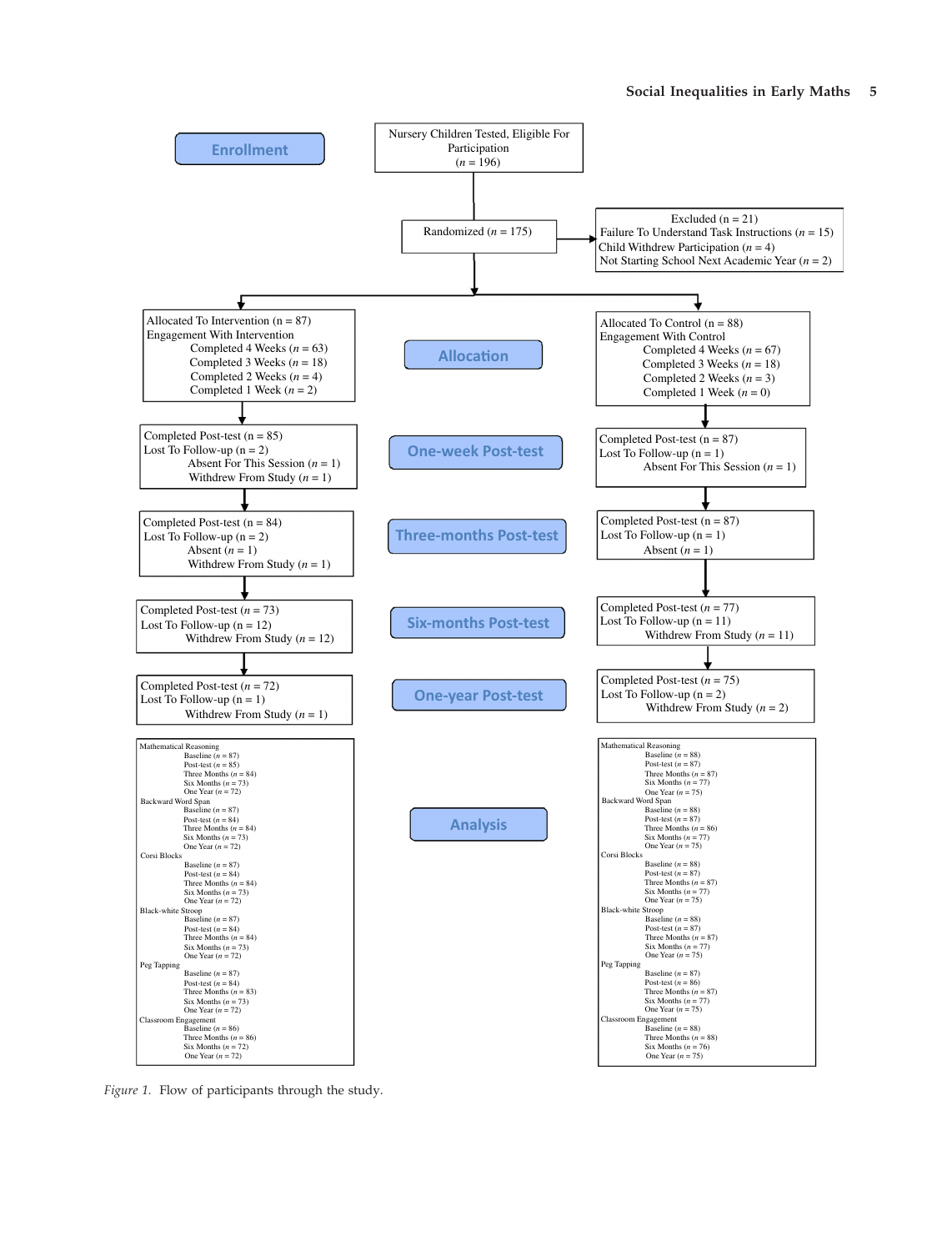

Figure 1. Flow of participants through the study.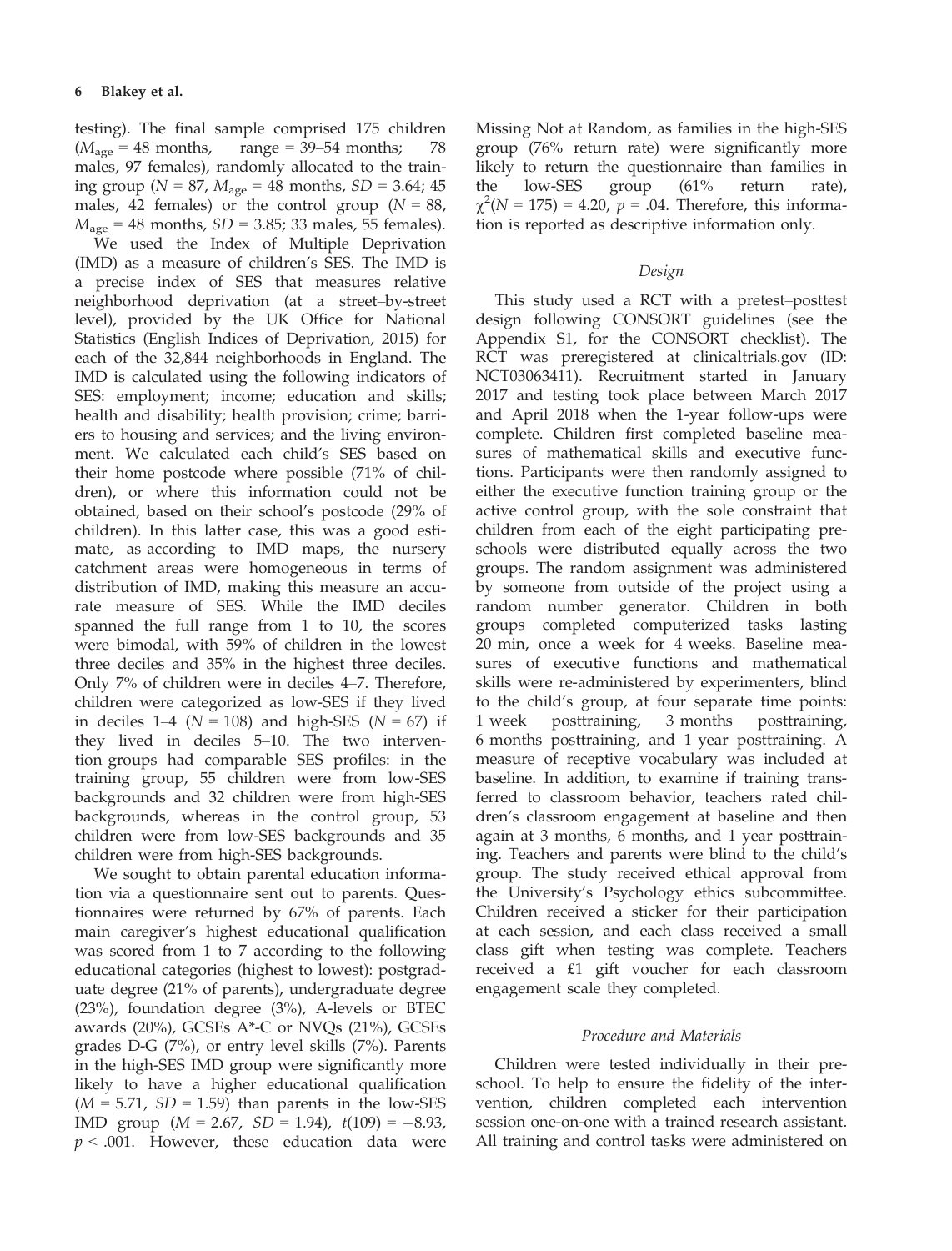testing). The final sample comprised 175 children  $(M<sub>ave</sub> = 48$  months, range = 39–54 months; 78 males, 97 females), randomly allocated to the training group ( $N = 87$ ,  $M_{\text{age}} = 48$  months,  $SD = 3.64$ ; 45 males, 42 females) or the control group ( $N = 88$ ,  $M<sub>age</sub> = 48$  months,  $SD = 3.85$ ; 33 males, 55 females).

We used the Index of Multiple Deprivation (IMD) as a measure of children's SES. The IMD is a precise index of SES that measures relative neighborhood deprivation (at a street–by-street level), provided by the UK Office for National Statistics (English Indices of Deprivation, 2015) for each of the 32,844 neighborhoods in England. The IMD is calculated using the following indicators of SES: employment; income; education and skills; health and disability; health provision; crime; barriers to housing and services; and the living environment. We calculated each child's SES based on their home postcode where possible (71% of children), or where this information could not be obtained, based on their school's postcode (29% of children). In this latter case, this was a good estimate, as according to IMD maps, the nursery catchment areas were homogeneous in terms of distribution of IMD, making this measure an accurate measure of SES. While the IMD deciles spanned the full range from 1 to 10, the scores were bimodal, with 59% of children in the lowest three deciles and 35% in the highest three deciles. Only 7% of children were in deciles 4–7. Therefore, children were categorized as low-SES if they lived in deciles  $1-4$  ( $N = 108$ ) and high-SES ( $N = 67$ ) if they lived in deciles 5–10. The two intervention groups had comparable SES profiles: in the training group, 55 children were from low-SES backgrounds and 32 children were from high-SES backgrounds, whereas in the control group, 53 children were from low-SES backgrounds and 35 children were from high-SES backgrounds.

We sought to obtain parental education information via a questionnaire sent out to parents. Questionnaires were returned by 67% of parents. Each main caregiver's highest educational qualification was scored from 1 to 7 according to the following educational categories (highest to lowest): postgraduate degree (21% of parents), undergraduate degree (23%), foundation degree (3%), A-levels or BTEC awards (20%), GCSEs A\*-C or NVQs (21%), GCSEs grades D-G (7%), or entry level skills (7%). Parents in the high-SES IMD group were significantly more likely to have a higher educational qualification  $(M = 5.71, SD = 1.59)$  than parents in the low-SES IMD group  $(M = 2.67, SD = 1.94)$ ,  $t(109) = -8.93$ ,  $p < .001$ . However, these education data were

Missing Not at Random, as families in the high-SES group (76% return rate) were significantly more likely to return the questionnaire than families in the low-SES group (61% return rate),  $\chi^2(N = 175) = 4.20$ ,  $p = .04$ . Therefore, this information is reported as descriptive information only tion is reported as descriptive information only.

# Design

This study used a RCT with a pretest–posttest design following CONSORT guidelines (see the Appendix S1, for the CONSORT checklist). The RCT was preregistered at clinicaltrials.gov (ID: NCT03063411). Recruitment started in January 2017 and testing took place between March 2017 and April 2018 when the 1-year follow-ups were complete. Children first completed baseline measures of mathematical skills and executive functions. Participants were then randomly assigned to either the executive function training group or the active control group, with the sole constraint that children from each of the eight participating preschools were distributed equally across the two groups. The random assignment was administered by someone from outside of the project using a random number generator. Children in both groups completed computerized tasks lasting 20 min, once a week for 4 weeks. Baseline measures of executive functions and mathematical skills were re-administered by experimenters, blind to the child's group, at four separate time points: 1 week posttraining, 3 months posttraining, 6 months posttraining, and 1 year posttraining. A measure of receptive vocabulary was included at baseline. In addition, to examine if training transferred to classroom behavior, teachers rated children's classroom engagement at baseline and then again at 3 months, 6 months, and 1 year posttraining. Teachers and parents were blind to the child's group. The study received ethical approval from the University's Psychology ethics subcommittee. Children received a sticker for their participation at each session, and each class received a small class gift when testing was complete. Teachers received a £1 gift voucher for each classroom engagement scale they completed.

## Procedure and Materials

Children were tested individually in their preschool. To help to ensure the fidelity of the intervention, children completed each intervention session one-on-one with a trained research assistant. All training and control tasks were administered on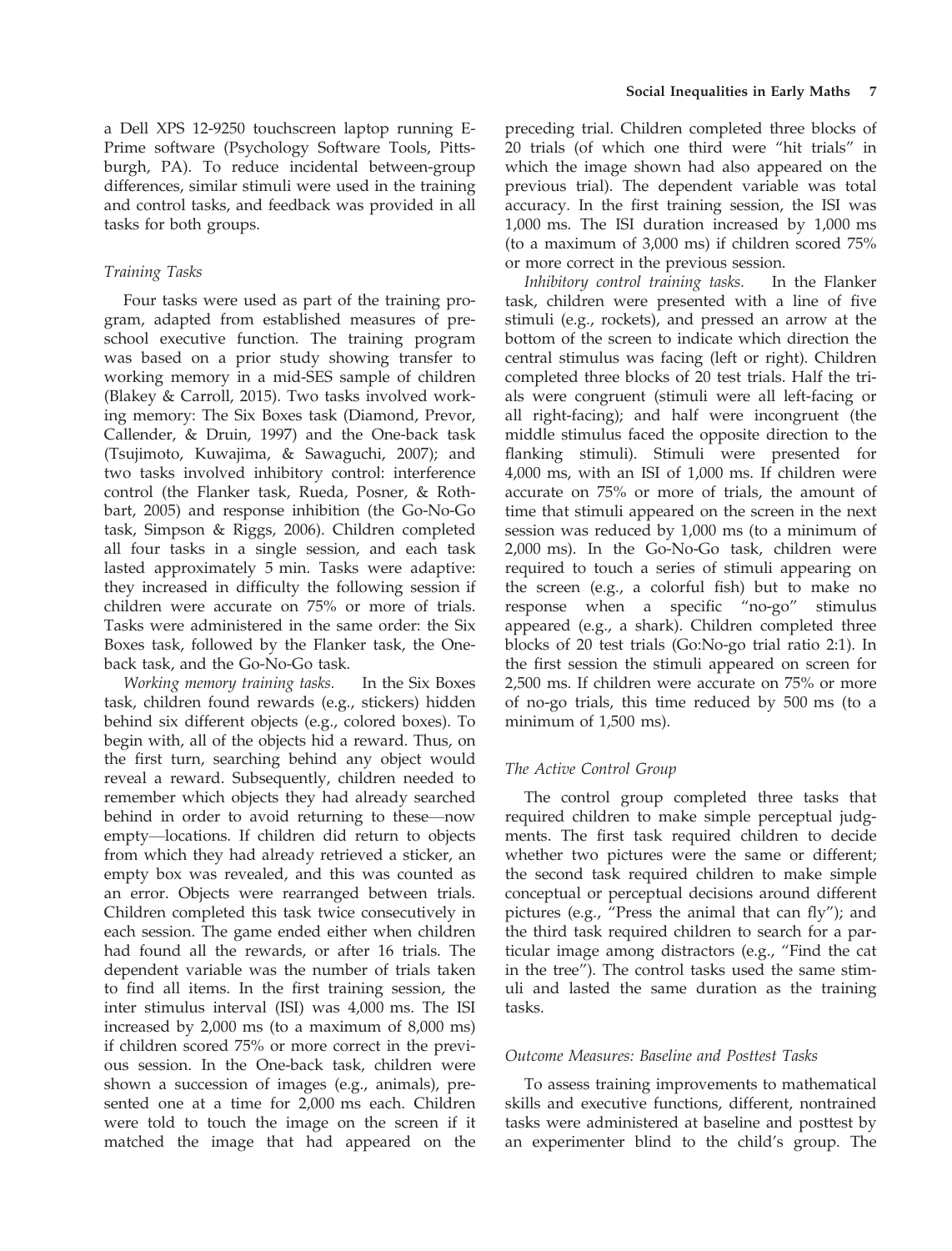a Dell XPS 12-9250 touchscreen laptop running E-Prime software (Psychology Software Tools, Pittsburgh, PA). To reduce incidental between-group differences, similar stimuli were used in the training and control tasks, and feedback was provided in all tasks for both groups.

# Training Tasks

Four tasks were used as part of the training program, adapted from established measures of preschool executive function. The training program was based on a prior study showing transfer to working memory in a mid-SES sample of children (Blakey & Carroll, 2015). Two tasks involved working memory: The Six Boxes task (Diamond, Prevor, Callender, & Druin, 1997) and the One-back task (Tsujimoto, Kuwajima, & Sawaguchi, 2007); and two tasks involved inhibitory control: interference control (the Flanker task, Rueda, Posner, & Rothbart, 2005) and response inhibition (the Go-No-Go task, Simpson & Riggs, 2006). Children completed all four tasks in a single session, and each task lasted approximately 5 min. Tasks were adaptive: they increased in difficulty the following session if children were accurate on 75% or more of trials. Tasks were administered in the same order: the Six Boxes task, followed by the Flanker task, the Oneback task, and the Go-No-Go task.

Working memory training tasks. In the Six Boxes task, children found rewards (e.g., stickers) hidden behind six different objects (e.g., colored boxes). To begin with, all of the objects hid a reward. Thus, on the first turn, searching behind any object would reveal a reward. Subsequently, children needed to remember which objects they had already searched behind in order to avoid returning to these—now empty—locations. If children did return to objects from which they had already retrieved a sticker, an empty box was revealed, and this was counted as an error. Objects were rearranged between trials. Children completed this task twice consecutively in each session. The game ended either when children had found all the rewards, or after 16 trials. The dependent variable was the number of trials taken to find all items. In the first training session, the inter stimulus interval (ISI) was 4,000 ms. The ISI increased by 2,000 ms (to a maximum of 8,000 ms) if children scored 75% or more correct in the previous session. In the One-back task, children were shown a succession of images (e.g., animals), presented one at a time for 2,000 ms each. Children were told to touch the image on the screen if it matched the image that had appeared on the

preceding trial. Children completed three blocks of 20 trials (of which one third were "hit trials" in which the image shown had also appeared on the previous trial). The dependent variable was total accuracy. In the first training session, the ISI was 1,000 ms. The ISI duration increased by 1,000 ms (to a maximum of 3,000 ms) if children scored 75% or more correct in the previous session.

Inhibitory control training tasks. In the Flanker task, children were presented with a line of five stimuli (e.g., rockets), and pressed an arrow at the bottom of the screen to indicate which direction the central stimulus was facing (left or right). Children completed three blocks of 20 test trials. Half the trials were congruent (stimuli were all left-facing or all right-facing); and half were incongruent (the middle stimulus faced the opposite direction to the flanking stimuli). Stimuli were presented for 4,000 ms, with an ISI of 1,000 ms. If children were accurate on 75% or more of trials, the amount of time that stimuli appeared on the screen in the next session was reduced by 1,000 ms (to a minimum of 2,000 ms). In the Go-No-Go task, children were required to touch a series of stimuli appearing on the screen (e.g., a colorful fish) but to make no response when a specific "no-go" stimulus appeared (e.g., a shark). Children completed three blocks of 20 test trials (Go:No-go trial ratio 2:1). In the first session the stimuli appeared on screen for 2,500 ms. If children were accurate on 75% or more of no-go trials, this time reduced by 500 ms (to a minimum of 1,500 ms).

## The Active Control Group

The control group completed three tasks that required children to make simple perceptual judgments. The first task required children to decide whether two pictures were the same or different; the second task required children to make simple conceptual or perceptual decisions around different pictures (e.g., "Press the animal that can fly"); and the third task required children to search for a particular image among distractors (e.g., "Find the cat in the tree"). The control tasks used the same stimuli and lasted the same duration as the training tasks.

#### Outcome Measures: Baseline and Posttest Tasks

To assess training improvements to mathematical skills and executive functions, different, nontrained tasks were administered at baseline and posttest by an experimenter blind to the child's group. The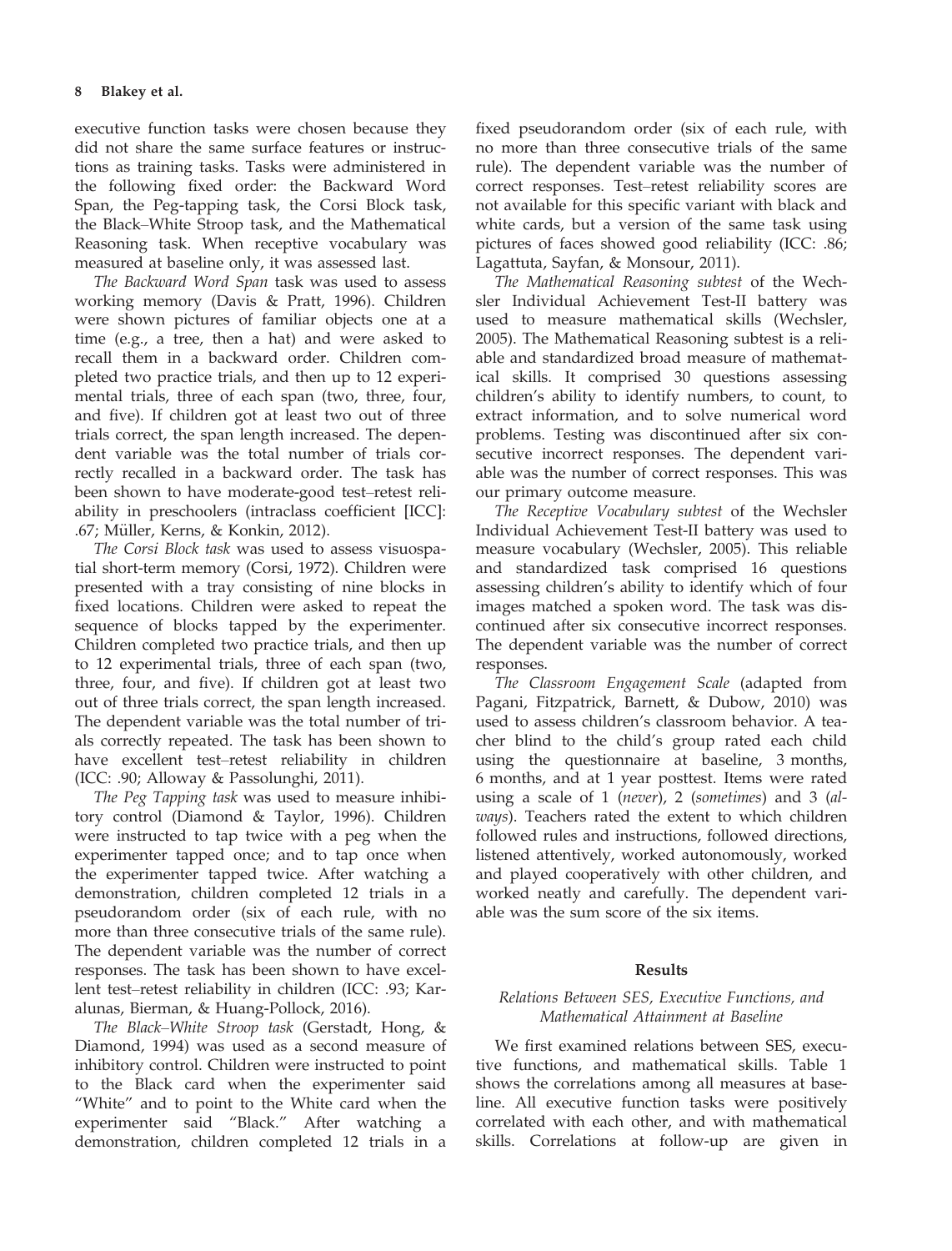executive function tasks were chosen because they did not share the same surface features or instructions as training tasks. Tasks were administered in the following fixed order: the Backward Word Span, the Peg-tapping task, the Corsi Block task, the Black–White Stroop task, and the Mathematical Reasoning task. When receptive vocabulary was measured at baseline only, it was assessed last.

The Backward Word Span task was used to assess working memory (Davis & Pratt, 1996). Children were shown pictures of familiar objects one at a time (e.g., a tree, then a hat) and were asked to recall them in a backward order. Children completed two practice trials, and then up to 12 experimental trials, three of each span (two, three, four, and five). If children got at least two out of three trials correct, the span length increased. The dependent variable was the total number of trials correctly recalled in a backward order. The task has been shown to have moderate-good test–retest reliability in preschoolers (intraclass coefficient [ICC]: .67; Müller, Kerns, & Konkin, 2012).

The Corsi Block task was used to assess visuospatial short-term memory (Corsi, 1972). Children were presented with a tray consisting of nine blocks in fixed locations. Children were asked to repeat the sequence of blocks tapped by the experimenter. Children completed two practice trials, and then up to 12 experimental trials, three of each span (two, three, four, and five). If children got at least two out of three trials correct, the span length increased. The dependent variable was the total number of trials correctly repeated. The task has been shown to have excellent test–retest reliability in children (ICC: .90; Alloway & Passolunghi, 2011).

The Peg Tapping task was used to measure inhibitory control (Diamond & Taylor, 1996). Children were instructed to tap twice with a peg when the experimenter tapped once; and to tap once when the experimenter tapped twice. After watching a demonstration, children completed 12 trials in a pseudorandom order (six of each rule, with no more than three consecutive trials of the same rule). The dependent variable was the number of correct responses. The task has been shown to have excellent test–retest reliability in children (ICC: .93; Karalunas, Bierman, & Huang-Pollock, 2016).

The Black–White Stroop task (Gerstadt, Hong, & Diamond, 1994) was used as a second measure of inhibitory control. Children were instructed to point to the Black card when the experimenter said "White" and to point to the White card when the experimenter said "Black." After watching a demonstration, children completed 12 trials in a

fixed pseudorandom order (six of each rule, with no more than three consecutive trials of the same rule). The dependent variable was the number of correct responses. Test–retest reliability scores are not available for this specific variant with black and white cards, but a version of the same task using pictures of faces showed good reliability (ICC: .86; Lagattuta, Sayfan, & Monsour, 2011).

The Mathematical Reasoning subtest of the Wechsler Individual Achievement Test-II battery was used to measure mathematical skills (Wechsler, 2005). The Mathematical Reasoning subtest is a reliable and standardized broad measure of mathematical skills. It comprised 30 questions assessing children's ability to identify numbers, to count, to extract information, and to solve numerical word problems. Testing was discontinued after six consecutive incorrect responses. The dependent variable was the number of correct responses. This was our primary outcome measure.

The Receptive Vocabulary subtest of the Wechsler Individual Achievement Test-II battery was used to measure vocabulary (Wechsler, 2005). This reliable and standardized task comprised 16 questions assessing children's ability to identify which of four images matched a spoken word. The task was discontinued after six consecutive incorrect responses. The dependent variable was the number of correct responses.

The Classroom Engagement Scale (adapted from Pagani, Fitzpatrick, Barnett, & Dubow, 2010) was used to assess children's classroom behavior. A teacher blind to the child's group rated each child using the questionnaire at baseline, 3 months, 6 months, and at 1 year posttest. Items were rated using a scale of 1 (never), 2 (sometimes) and 3 (always). Teachers rated the extent to which children followed rules and instructions, followed directions, listened attentively, worked autonomously, worked and played cooperatively with other children, and worked neatly and carefully. The dependent variable was the sum score of the six items.

# Results

# Relations Between SES, Executive Functions, and Mathematical Attainment at Baseline

We first examined relations between SES, executive functions, and mathematical skills. Table 1 shows the correlations among all measures at baseline. All executive function tasks were positively correlated with each other, and with mathematical skills. Correlations at follow-up are given in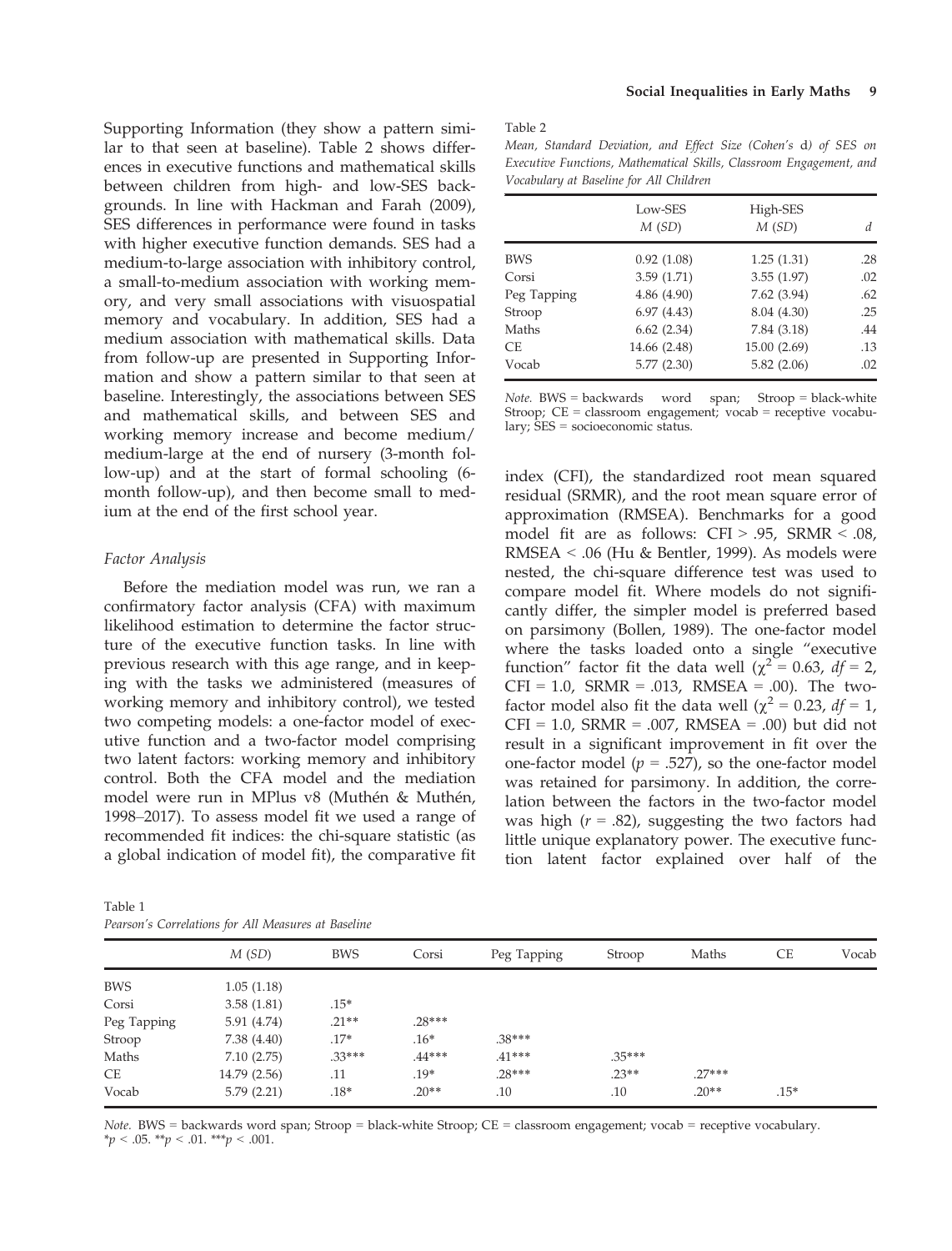Supporting Information (they show a pattern similar to that seen at baseline). Table 2 shows differences in executive functions and mathematical skills between children from high- and low-SES backgrounds. In line with Hackman and Farah (2009), SES differences in performance were found in tasks with higher executive function demands. SES had a medium-to-large association with inhibitory control, a small-to-medium association with working memory, and very small associations with visuospatial memory and vocabulary. In addition, SES had a medium association with mathematical skills. Data from follow-up are presented in Supporting Information and show a pattern similar to that seen at baseline. Interestingly, the associations between SES and mathematical skills, and between SES and working memory increase and become medium/ medium-large at the end of nursery (3-month follow-up) and at the start of formal schooling (6 month follow-up), and then become small to medium at the end of the first school year.

### Factor Analysis

Before the mediation model was run, we ran a confirmatory factor analysis (CFA) with maximum likelihood estimation to determine the factor structure of the executive function tasks. In line with previous research with this age range, and in keeping with the tasks we administered (measures of working memory and inhibitory control), we tested two competing models: a one-factor model of executive function and a two-factor model comprising two latent factors: working memory and inhibitory control. Both the CFA model and the mediation model were run in MPlus v8 (Muthén & Muthén, 1998–2017). To assess model fit we used a range of recommended fit indices: the chi-square statistic (as a global indication of model fit), the comparative fit

| Table 1                                             |  |  |  |
|-----------------------------------------------------|--|--|--|
| Pearson's Correlations for All Measures at Baseline |  |  |  |

Mean, Standard Deviation, and Effect Size (Cohen's d) of SES on Executive Functions, Mathematical Skills, Classroom Engagement, and Vocabulary at Baseline for All Children

|             | Low-SES<br>M(SD) | High-SES<br>M(SD) | d   |
|-------------|------------------|-------------------|-----|
| <b>BWS</b>  | 0.92(1.08)       | 1.25(1.31)        | .28 |
| Corsi       | 3.59(1.71)       | 3.55(1.97)        | .02 |
| Peg Tapping | 4.86(4.90)       | 7.62(3.94)        | .62 |
| Stroop      | 6.97(4.43)       | 8.04 (4.30)       | .25 |
| Maths       | 6.62(2.34)       | 7.84(3.18)        | .44 |
| CE          | 14.66 (2.48)     | 15.00 (2.69)      | .13 |
| Vocab       | 5.77(2.30)       | 5.82(2.06)        | .02 |

Note. BWS = backwards word span; Stroop = black-white Stroop;  $CE =$  classroom engagement; vocab = receptive vocabulary; SES = socioeconomic status.

index (CFI), the standardized root mean squared residual (SRMR), and the root mean square error of approximation (RMSEA). Benchmarks for a good model fit are as follows: CFI > .95, SRMR < .08, RMSEA < .06 (Hu & Bentler, 1999). As models were nested, the chi-square difference test was used to compare model fit. Where models do not significantly differ, the simpler model is preferred based on parsimony (Bollen, 1989). The one-factor model where the tasks loaded onto a single "executive function" factor fit the data well ( $\chi^2$  = 0.63, *df* = 2,  $CFI = 1.0$ ,  $SRMR = .013$ ,  $RMSEA = .00$ ). The twofactor model also fit the data well ( $\chi^2$  = 0.23, *df* = 1,  $CFI = 1.0$ ,  $SRMR = .007$ ,  $RMSEA = .00$ ) but did not result in a significant improvement in fit over the one-factor model ( $p = .527$ ), so the one-factor model was retained for parsimony. In addition, the correlation between the factors in the two-factor model was high  $(r = .82)$ , suggesting the two factors had little unique explanatory power. The executive function latent factor explained over half of the

|             | M(SD)        | <b>BWS</b> | Corsi    | Peg Tapping | Stroop   | Maths    | CE     | Vocab |
|-------------|--------------|------------|----------|-------------|----------|----------|--------|-------|
| <b>BWS</b>  | 1.05(1.18)   |            |          |             |          |          |        |       |
| Corsi       | 3.58(1.81)   | $.15*$     |          |             |          |          |        |       |
| Peg Tapping | 5.91 (4.74)  | $.21**$    | $.28***$ |             |          |          |        |       |
| Stroop      | 7.38 (4.40)  | $.17*$     | $.16*$   | $.38***$    |          |          |        |       |
| Maths       | 7.10(2.75)   | $.33***$   | $.44***$ | $.41***$    | $.35***$ |          |        |       |
| CE          | 14.79 (2.56) | .11        | $.19*$   | $.28***$    | $.23**$  | $.27***$ |        |       |
| Vocab       | 5.79(2.21)   | $.18*$     | $.20**$  | .10         | .10      | $.20**$  | $.15*$ |       |

Note. BWS = backwards word span; Stroop = black-white Stroop; CE = classroom engagement; vocab = receptive vocabulary. \*p < .05. \*\*p < .01. \*\*\*p < .001.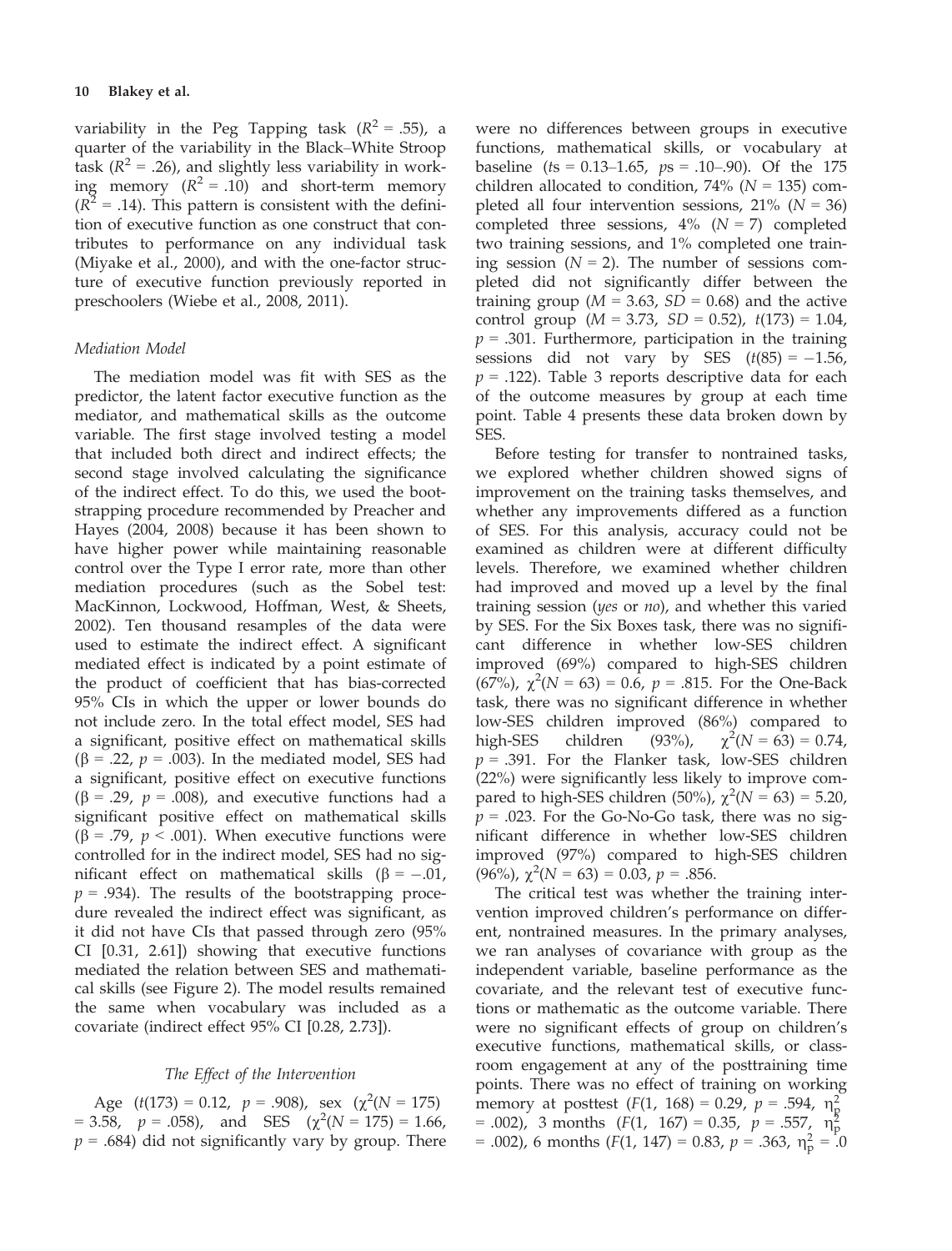variability in the Peg Tapping task  $(R^2 = .55)$ , a quarter of the variability in the Black–White Stroop task ( $R^2$  = .26), and slightly less variability in working memory  $(R^2 = .10)$  and short-term memory  $(R^2 = .14)$ . This pattern is consistent with the definition of executive function as one construct that contributes to performance on any individual task (Miyake et al., 2000), and with the one-factor structure of executive function previously reported in preschoolers (Wiebe et al., 2008, 2011).

#### Mediation Model

The mediation model was fit with SES as the predictor, the latent factor executive function as the mediator, and mathematical skills as the outcome variable. The first stage involved testing a model that included both direct and indirect effects; the second stage involved calculating the significance of the indirect effect. To do this, we used the bootstrapping procedure recommended by Preacher and Hayes (2004, 2008) because it has been shown to have higher power while maintaining reasonable control over the Type I error rate, more than other mediation procedures (such as the Sobel test: MacKinnon, Lockwood, Hoffman, West, & Sheets, 2002). Ten thousand resamples of the data were used to estimate the indirect effect. A significant mediated effect is indicated by a point estimate of the product of coefficient that has bias-corrected 95% CIs in which the upper or lower bounds do not include zero. In the total effect model, SES had a significant, positive effect on mathematical skills ( $\beta$  = .22,  $p$  = .003). In the mediated model, SES had a significant, positive effect on executive functions  $(\beta = .29, p = .008)$ , and executive functions had a significant positive effect on mathematical skills ( $\beta$  = .79,  $p < .001$ ). When executive functions were controlled for in the indirect model, SES had no significant effect on mathematical skills  $(\beta = -.01)$ ,  $p = .934$ ). The results of the bootstrapping procedure revealed the indirect effect was significant, as it did not have CIs that passed through zero (95% CI [0.31, 2.61]) showing that executive functions mediated the relation between SES and mathematical skills (see Figure 2). The model results remained the same when vocabulary was included as a covariate (indirect effect 95% CI [0.28, 2.73]).

### The Effect of the Intervention

Age  $(t(173) = 0.12, p = .908)$ , sex  $(\chi^2(N = 175)$ <br>3.58  $n = .058$ ) and SES  $(\chi^2(N = 175) = 1.66)$ = 3.58,  $p = .058$ ), and SES  $(\chi^2(N = 175) = 1.66,$ <br>n = 684) did not significantly vary by group. There  $p = .684$ ) did not significantly vary by group. There

were no differences between groups in executive functions, mathematical skills, or vocabulary at baseline ( $ts = 0.13 - 1.65$ ,  $ps = .10 - .90$ ). Of the 175 children allocated to condition,  $74\%$  ( $N = 135$ ) completed all four intervention sessions,  $21\%$  ( $N = 36$ ) completed three sessions,  $4\%$  ( $N = 7$ ) completed two training sessions, and 1% completed one training session ( $N = 2$ ). The number of sessions completed did not significantly differ between the training group ( $M = 3.63$ ,  $SD = 0.68$ ) and the active control group  $(M = 3.73, SD = 0.52)$ ,  $t(173) = 1.04$ ,  $p = .301$ . Furthermore, participation in the training sessions did not vary by SES  $(t(85) = -1.56)$ ,  $p = .122$ ). Table 3 reports descriptive data for each of the outcome measures by group at each time point. Table 4 presents these data broken down by SES.

Before testing for transfer to nontrained tasks, we explored whether children showed signs of improvement on the training tasks themselves, and whether any improvements differed as a function of SES. For this analysis, accuracy could not be examined as children were at different difficulty levels. Therefore, we examined whether children had improved and moved up a level by the final training session (yes or no), and whether this varied by SES. For the Six Boxes task, there was no significant difference in whether low-SES children improved (69%) compared to high-SES children  $(67\%)$ ,  $\chi^2(N = 63) = 0.\overline{6}$ ,  $p = .815$ . For the One-Back there was no significant difference in whether task, there was no significant difference in whether low-SES children improved (86%) compared to high-SES children (93%),  $\chi^2(N = 63) = 0.74$ ,  $p = .391$ . For the Flanker task, low-SES children  $\chi^2(N = 63) = 0.74$ , (22%) were significantly less likely to improve compared to high-SES children (50%),  $\chi^2(N = 63) = 5.20$ ,  $n = 0.03$ . For the Go-No-Go task, there was no sig $p = .023$ . For the Go-No-Go task, there was no significant difference in whether low-SES children improved (97%) compared to high-SES children (96%),  $\chi^2(N = 63) = 0.03$ ,  $p = .856$ .<br>The critical test was whether

The critical test was whether the training intervention improved children's performance on different, nontrained measures. In the primary analyses, we ran analyses of covariance with group as the independent variable, baseline performance as the covariate, and the relevant test of executive functions or mathematic as the outcome variable. There were no significant effects of group on children's executive functions, mathematical skills, or classroom engagement at any of the posttraining time points. There was no effect of training on working memory at posttest  $(F(1, 168) = 0.29, p = .594, \eta_{\rm p}^2 = .002)$  3 months  $(F(1, 167) = 0.35, p = .557, p^2)$ = .002), 3 months (F(1, 167) = 0.35, p = .557,  $\eta_{\text{p}}^2$ <br>= .002), 6 months (F(1, 147) = 0.83, n = 363,  $\eta_{\text{p}}^2$  =  $= .002$ ), 6 months ( $F(1, 147) = 0.83$ ,  $p = .363$ ,  $\eta_{\rm p}^2 = .0$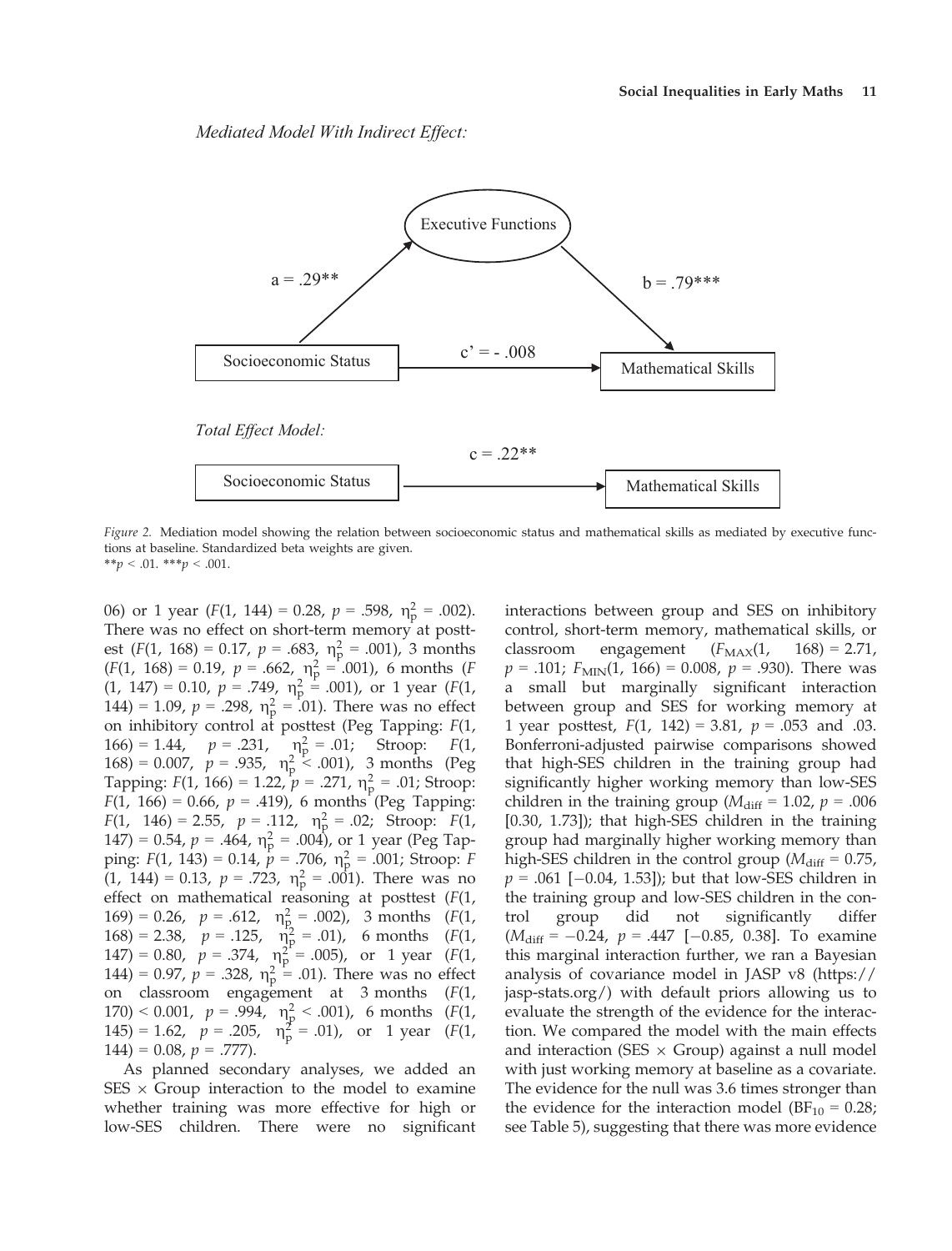*Mediated Model With Indirect Effect:*



Figure 2. Mediation model showing the relation between socioeconomic status and mathematical skills as mediated by executive functions at baseline. Standardized beta weights are given. \*\*p < .01. \*\*\*p < .001.

06) or 1 year  $(F(1, 144) = 0.28, p = .598, \eta_{\rm p}^2 = .002)$ .<br>There was no effect on short-term memory at postt-There was no effect on short-term memory at posttest  $(F(1, 168) = 0.17, p = .683, \eta_{\text{p}}^2 = .001, 3 \text{ months}$ <br> $(F(1, 168) = 0.19, p = .662, \eta_{\text{p}}^2 = .001)$  6 months (F  $(F(1, 168) = 0.19, p = .662, \eta_{\text{p}}^2 = .001), 6 \text{ months}$  (F<br>(1 147) = 0.10  $p = 749$   $p_{\text{p}}^2 = .001$ ) or 1 year (F(1)  $(1, 147) = 0.10, p = .749, \eta_{\text{p}}^2 = .001$ , or 1 year (F(1, 144) = 1.09  $n = 298$   $\eta_{\text{p}}^2 = .01$ ). There was no effect 144) = 1.09,  $p = .298$ ,  $\eta_p^2 = .01$ ). There was no effect<br>on inhibitory control at posttest (Peg Tapping: *E*(1) on inhibitory control at posttest (Peg Tapping: F(1,  $166$  = 1.44,  $p = .231$ ,  $n_P^2 = .01$ ; Stroop:  $F(1, 168) = 0.007$   $n = .935$   $n^2 < .001$ ) 3 months (Peg  $168$  = 0.007,  $p = .935$ ,  $\eta_p^2 < .001$ , 3 months (Peg<br>Tanning:  $F(1, 166) = 1.22$ ,  $p = .271$ ,  $n^2 = .01$ ; Stroom Tapping:  $F(1, 166) = 1.22$ ,  $p = .271$ ,  $\eta_p^2 = .01$ ; Stroop:<br> $F(1, 166) = 0.66$ ,  $p = .419$ ), 6 months (Peg Tapping:  $F(1, 166) = 0.66$ ,  $p = .419$ ), 6 months (Peg Tapping:  $F(1, 146) = 2.55, p = .112, \eta_{\rho}^2 = .02$ ; Stroop:  $F(1, 147) = 0.54, p = 464, \eta_{\rho}^2 = .004$  or 1 year (Peg Tan-147) = 0.54,  $p = .464$ ,  $\eta_p^2 = .004$ ), or 1 year (Peg Tap-<br>ping:  $F(1 \ 143) = 0.14$ ,  $p = .706$ ,  $n^2 = .001$ ; Stroop: F ping:  $F(1, 143) = 0.14$ ,  $p = .706$ ,  $\eta_p^2 = .001$ ; Stroop: F<br>(1 144) = 0.13,  $p = .723$ ,  $p^2 = .001$ ). There was no  $(1, 144) = 0.13$ ,  $p = .723$ ,  $\eta_p^2 = .001$ ). There was no<br>effect on mathematical reasoning at postfest (*F*(1) effect on mathematical reasoning at posttest (F(1,  $169$  = 0.26,  $p = .612$ ,  $n_{\text{p}}^2 = .002$ ), 3 months (F(1, 168) = 2.38,  $n = 125$ ,  $n^2 = .01$ ), 6 months (F(1)  $168$ ) = 2.38,  $p = .125$ ,  $\eta_{\text{P}}^2 = .01$ ), 6 months (F(1,  $147$ ) = 0.80,  $n = 374$ ,  $n^2 = 0.05$ ) or 1 year (F(1)  $147$ ) = 0.80,  $p = .374$ ,  $\eta_p^2 = .005$ ), or 1 year (F(1,  $144$ ) = 0.97  $n = 328$ ,  $n^2 = 01$ ). There was no effect 144) = 0.97,  $p = .328$ ,  $\eta_p^2 = .01$ ). There was no effect<br>on classroom engagement at 3 months (E(1) on classroom engagement at 3 months  $(F(1,$  $170$  < 0.001,  $p = .994$ ,  $\eta_{\text{P}}^2$  < .001), 6 months (F(1, 145) = 1.62,  $n = .205$ ,  $\eta_{\text{P}}^2$  = 01), or 1 year (F(1)  $145$ ) = 1.62,  $p = .205$ ,  $\eta_{\rm p}^2 = .01$ ), or 1 year (F(1,  $144$ ) = 0.08  $n = 777$ )  $144$ ) = 0.08,  $p = .777$ ).

As planned secondary analyses, we added an  $SES \times Group$  interaction to the model to examine whether training was more effective for high or low-SES children. There were no significant interactions between group and SES on inhibitory control, short-term memory, mathematical skills, or classroom engagement  $(F_{MAX}(1, 168) = 2.71,$  $p = .101$ ;  $F_{\text{MIN}}(1, 166) = 0.008$ ,  $p = .930$ ). There was a small but marginally significant interaction between group and SES for working memory at 1 year posttest,  $F(1, 142) = 3.81$ ,  $p = .053$  and .03. Bonferroni-adjusted pairwise comparisons showed that high-SES children in the training group had significantly higher working memory than low-SES children in the training group ( $M_{\text{diff}} = 1.02$ ,  $p = .006$ [0.30, 1.73]); that high-SES children in the training group had marginally higher working memory than high-SES children in the control group ( $M_{\text{diff}} = 0.75$ ,  $p = .061$  [-0.04, 1.53]); but that low-SES children in the training group and low-SES children in the control group did not significantly differ  $(M_{\text{diff}} = -0.24, p = .447 [-0.85, 0.38].$  To examine this marginal interaction further, we ran a Bayesian analysis of covariance model in JASP v8 ([https://](https://jasp-stats.org/) [jasp-stats.org/\)](https://jasp-stats.org/) with default priors allowing us to evaluate the strength of the evidence for the interaction. We compared the model with the main effects and interaction (SES  $\times$  Group) against a null model with just working memory at baseline as a covariate. The evidence for the null was 3.6 times stronger than the evidence for the interaction model ( $BF_{10} = 0.28$ ; see Table 5), suggesting that there was more evidence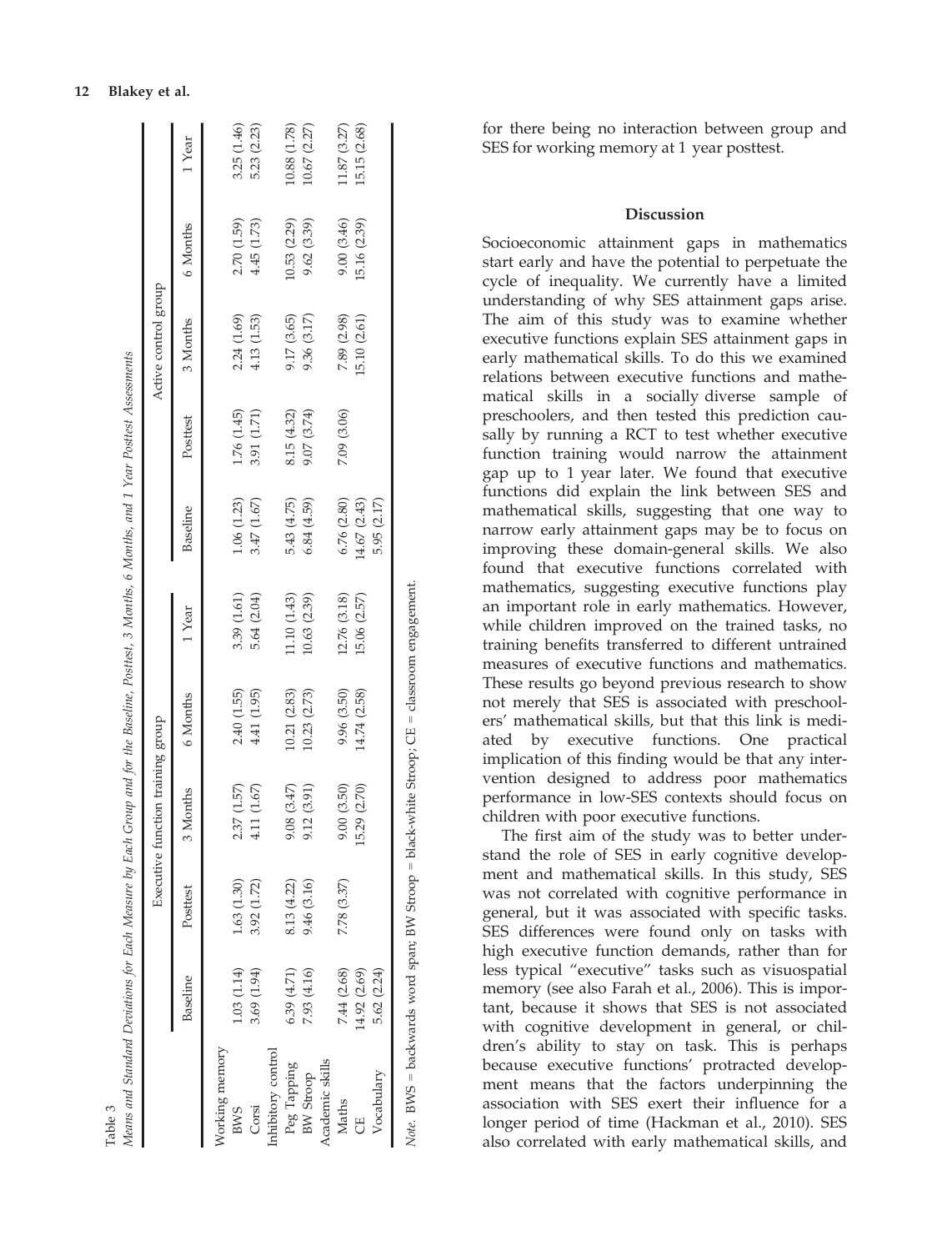|                    |              |             | Executive function training group |              |              |              |             | Active control group |              |              |
|--------------------|--------------|-------------|-----------------------------------|--------------|--------------|--------------|-------------|----------------------|--------------|--------------|
|                    | Baseline     | Posttest    | Months                            | 6 Months     | 1 Year       | Baseline     | Posttest    | 3 Months             | 6 Months     | 1 Year       |
| Working memory     |              |             |                                   |              |              |              |             |                      |              |              |
| <b>BWS</b>         | 1.03(1.14)   | 1.63 (1.30) | 2.37 (1.57)                       | 2.40(1.55)   | 3.39 (1.61)  | 1.06(1.23)   | 1.76 (1.45) | 2.24 (1.69)          | 2.70 (1.59)  | 3.25(1.46)   |
| Corsi              | 3.69 (1.94)  | 3.92 (1.72) | 4.11 (1.67)                       | 4.41 (1.95)  | 5.64 (2.04)  | 3.47(1.67)   | 3.91 (1.71) | 4.13 (1.53)          | 4.45 (1.73)  | 5.23 (2.23)  |
| Inhibitory control |              |             |                                   |              |              |              |             |                      |              |              |
| Peg Tapping        | 6.39(4.71)   | 8.13 (4.22) | 9.08 (3.47)                       | 10.21 (2.83) | 11.10 (1.43) | 5.43 (4.75)  | 8.15 (4.32) | 9.17(3.65)           | 10.53 (2.29) | 10.88 (1.78) |
| <b>BW</b> Stroop   | 7.93 (4.16)  | 9.46 (3.16) | 9.12 (3.91)                       | 10.23 (2.73) | 10.63(2.39)  | 6.84 (4.59)  | 9.07 (3.74) | 9.36 (3.17)          | 9.62(3.39)   | 10.67(2.27)  |
| Academic skills    |              |             |                                   |              |              |              |             |                      |              |              |
| Maths              | 7.44 (2.68)  | 7.78 (3.37) | 9.00 (3.50)                       | 9.96 (3.50)  | 12.76 (3.18) | 6.76 (2.80)  | 7.09 (3.06) | 7.89 (2.98)          | 9.00 (3.46)  | 11.87 (3.27) |
| 5                  | 14.92 (2.69) |             | 15.29 (2.70)                      | 14.74 (2.58) | 15.06 (2.57) | 14.67 (2.43) |             | 15.10 (2.61)         | 15.16 (2.39) | 15.15 (2.68) |
| Vocabulary         | 5.62 (2.24)  |             |                                   |              |              | 5.95 (2.17)  |             |                      |              |              |

for there being no interaction between group and SES for working memory at 1 year posttest.

# Discussion

Socioeconomic attainment gaps in mathematics start early and have the potential to perpetuate the cycle of inequality. We currently have a limited understanding of why SES attainment gaps arise. The aim of this study was to examine whether executive functions explain SES attainment gaps in early mathematical skills. To do this we examined relations between executive functions and mathematical skills in a socially diverse sample of preschoolers, and then tested this prediction causally by running a RCT to test whether executive function training would narrow the attainment gap up to 1 year later. We found that executive functions did explain the link between SES and mathematical skills, suggesting that one way to narrow early attainment gaps may be to focus on improving these domain-general skills. We also found that executive functions correlated with mathematics, suggesting executive functions play an important role in early mathematics. However, while children improved on the trained tasks, no training bene fits transferred to different untrained measures of executive functions and mathematics. These results go beyond previous research to show not merely that SES is associated with preschoolers' mathematical skills, but that this link is mediated by executive functions. One practical implication of this finding would be that any intervention designed to address poor mathematics performance in low-SES contexts should focus on children with poor executive functions.

The first aim of the study was to better understand the role of SES in early cognitive development and mathematical skills. In this study, SES was not correlated with cognitive performance in general, but it was associated with speci fic tasks. SES differences were found only on tasks with high executive function demands, rather than for less typical "executive " tasks such as visuospatial memory (see also Farah et al., 2006). This is important, because it shows that SES is not associated with cognitive development in general, or children's ability to stay on task. This is perhaps because executive functions ' protracted development means that the factors underpinning the association with SES exert their in fluence for a longer period of time (Hackman et al., 2010). SES also correlated with early mathematical skills, and

Table 3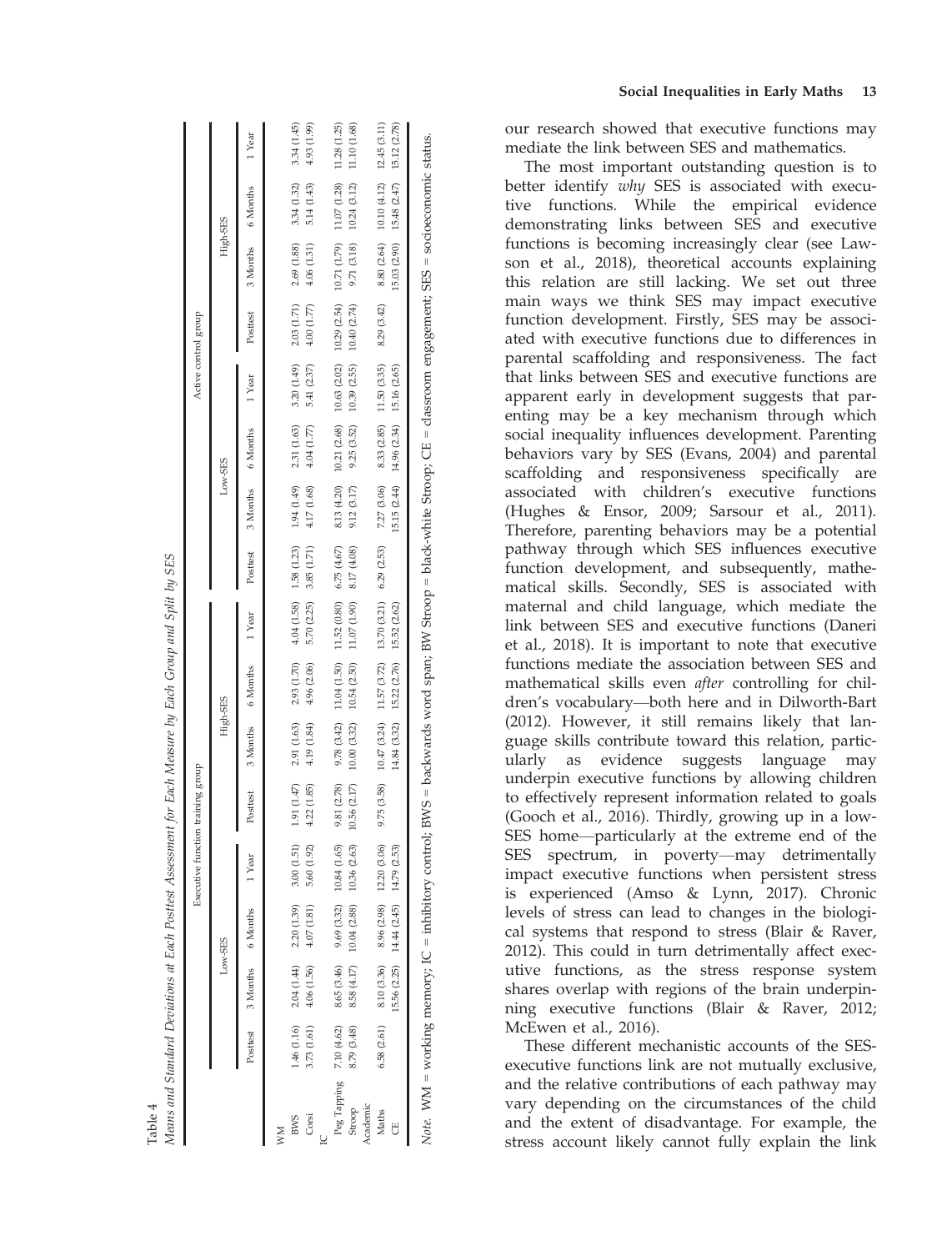|            |                         |                                   |                                           | Executive funct                                                                                                                                                       | ion training group |                   |                           |              |             |                            |              |                                       | Active control group |                                        |              |              |
|------------|-------------------------|-----------------------------------|-------------------------------------------|-----------------------------------------------------------------------------------------------------------------------------------------------------------------------|--------------------|-------------------|---------------------------|--------------|-------------|----------------------------|--------------|---------------------------------------|----------------------|----------------------------------------|--------------|--------------|
|            |                         |                                   | Low-SES                                   |                                                                                                                                                                       |                    | High-SES          |                           |              |             |                            | Low-SES      |                                       |                      | High-SES                               |              |              |
|            |                         | Posttest 3 Months 6 Months 1 Year |                                           |                                                                                                                                                                       | Posttest           | 3 Months 6 Months |                           | 1 Year       |             | Posttest 3 Months 6 Months |              | 1 Year                                | Posttest             | 3 Months 6 Months                      |              | 1 Year       |
| XМ         |                         |                                   |                                           |                                                                                                                                                                       |                    |                   |                           |              |             |                            |              |                                       |                      |                                        |              |              |
| <b>BWS</b> | 1.46 (1.16)             |                                   | 2.04 (1.44) 2.20 (1.39) 3.00 (1.51)       |                                                                                                                                                                       | 1.91 (1.47)        | 2.91 (1.63)       | 2.93 (1.70)               | 4.04 (1.58)  | 1.58 (1.23) | 1.94 (1.49)                | 2.31 (1.63)  | 3.20 (1.49)                           | 2.03(1.71)           | 2.69 (1.88)                            | 3.34 (1.32)  | 3.34 (1.45)  |
| Corsi      | 3.73 (1.61)             | 4.06 (1.56)                       | 4.07(1.81)                                | 5.60 (1.92)                                                                                                                                                           | 4.22(1.85)         | 4.19 (1.84)       | 4.96 (2.06)               | 5.70 (2.25)  | 3.85 (1.71) | 4.17 (1.68)                | 4.04(1.77)   | 5.41 (2.37)                           | 4.00(1.77)           | 4.06 (1.31)                            | 5.14 (1.43)  | 4.93 (1.99)  |
|            | Peg Tapping 7.10 (4.62) |                                   | 8.65 (3.46) 9.69 (3.32) 10.84 (1.65)      |                                                                                                                                                                       | 9.81 (2.78)        | 9.78 (3.42)       | 11.04 (1.50) 11.52 (0.80) |              | 6.75(4.67)  |                            |              | 8.13 (4.20) 10.21 (2.68) 10.63 (2.02) |                      | 10.29 (2.54) 10.71 (1.79) 11.07 (1.28) |              | 11.28 (1.25) |
| Stroop     | 8.79 (3.48)             | 8.58 (4.17)                       | 10.04 (2.88)                              | 10.36 (2.63)                                                                                                                                                          | 10.56 (2.17)       | 10.00 (3.32)      | 10.54 (2.50)              | 11.07 (1.90) | 8.17 (4.08) | 9.12(3.17)                 | 9.25 (3.52)  | 10.39 (2.55)                          | 10.40 (2.74)         | 9.71 (3.18)                            | 10.24 (3.12) | 11.10 (1.68) |
| Academic   |                         |                                   |                                           |                                                                                                                                                                       |                    |                   |                           |              |             |                            |              |                                       |                      |                                        |              |              |
| Maths      | 6.58(2.61)              | 8.10 (3.36)                       |                                           | 8.96 (2.98) 12.20 (3.06)                                                                                                                                              | 9.75 (3.58)        | 10.47 (3.24)      | 11.57 (3.72)              | 13.70 (3.21) | 6.29(2.53)  | 7.27 (3.06)                | 8.33 (2.85)  | 11.50 (3.35)                          | 8.29 (3.42)          | 8.80 (2.64)                            | 10.10 (4.12) | 12.45 (3.11) |
|            |                         |                                   | $15.56(2.25)$ $14.44(2.45)$ $14.79(2.53)$ |                                                                                                                                                                       |                    | 14.84 (3.32)      | 15.22 (2.76)              | 15.52 (2.62) |             | 15.15 (2.44)               | 14.96 (2.34) | 15.16 (2.65)                          |                      | 15.03 (2.90)                           | 15.48 (2.47) | 15.12 (2.78) |
|            |                         |                                   |                                           | Note. WM = working memory; IC = inhibitory control; BWS = backwards word spar; BW Stroop = black-white Stroop; CE = classroom engagement; SES = socioeconomic status. |                    |                   |                           |              |             |                            |              |                                       |                      |                                        |              |              |

Means and Standard Deviations at Each Posttest Assessment for Each Measure by Each Group and Split by SES Means and Standard Deviations at Each Posttest Assessment for Each Measure by Each Group and Split by SES

Table 4

Social Inequalities in Early Maths 13

our research showed that executive functions may mediate the link between SES and mathematics.

The most important outstanding question is to better identify why SES is associated with executive functions. While the empirical evidence demonstrating links between SES and executive functions is becoming increasingly clear (see Lawson et al., 2018), theoretical accounts explaining this relation are still lacking. We set out three main ways we think SES may impact executive function development. Firstly, SES may be associated with executive functions due to differences in parental scaffolding and responsiveness. The fact that links between SES and executive functions are apparent early in development suggests that parenting may be a key mechanism through which social inequality in fluences development. Parenting behaviors vary by SES (Evans, 2004) and parental scaffolding and responsiveness speci fically are associated with children 's executive functions (Hughes & Ensor, 2009; Sarsour et al., 2011). Therefore, parenting behaviors may be a potential pathway through which SES in fluences executive function development, and subsequently, mathematical skills. Secondly, SES is associated with maternal and child language, which mediate the link between SES and executive functions (Daneri et al., 2018). It is important to note that executive functions mediate the association between SES and mathematical skills even after controlling for children's vocabulary—both here and in Dilworth-Bart (2012). However, it still remains likely that language skills contribute toward this relation, particularly as evidence suggests language may underpin executive functions by allowing children to effectively represent information related to goals (Gooch et al., 2016). Thirdly, growing up in a low-SES home—particularly at the extreme end of the SES spectrum, in poverty —may detrimentally impact executive functions when persistent stress is experienced (Amso & Lynn, 2017). Chronic levels of stress can lead to changes in the biological systems that respond to stress (Blair & Raver, 2012). This could in turn detrimentally affect executive functions, as the stress response system shares overlap with regions of the brain underpinning executive functions (Blair & Raver, 2012; McEwen et al., 2016).

These different mechanistic accounts of the SESexecutive functions link are not mutually exclusive, and the relative contributions of each pathway may vary depending on the circumstances of the child and the extent of disadvantage. For example, the stress account likely cannot fully explain the link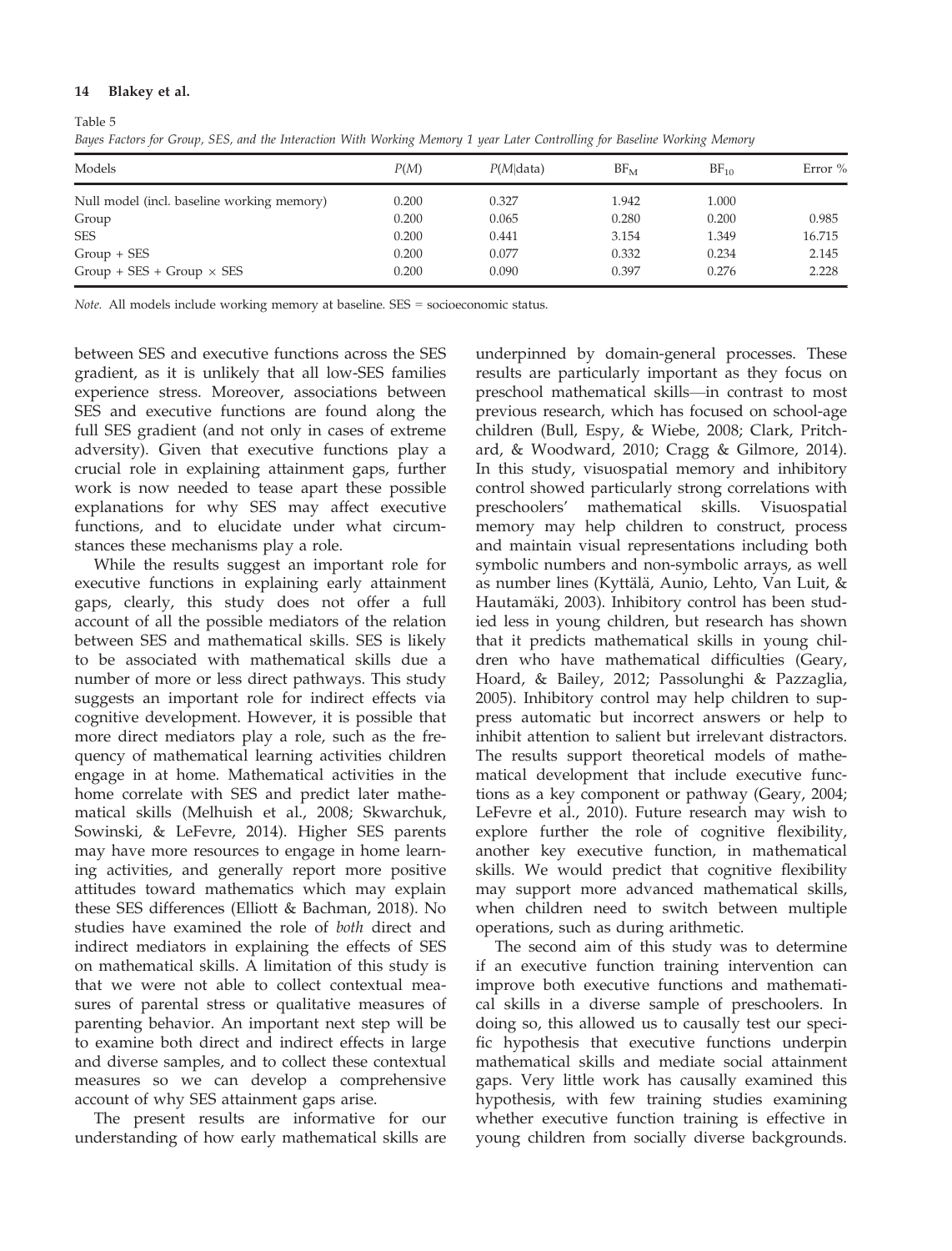### 14 Blakey et al.

Table 5

Bayes Factors for Group, SES, and the Interaction With Working Memory 1 year Later Controlling for Baseline Working Memory

| Models                                     | P(M)  | P(M data) | $BF_M$ | $BF_{10}$ | Error $\%$ |
|--------------------------------------------|-------|-----------|--------|-----------|------------|
| Null model (incl. baseline working memory) | 0.200 | 0.327     | 1.942  | 1.000     |            |
| Group                                      | 0.200 | 0.065     | 0.280  | 0.200     | 0.985      |
| <b>SES</b>                                 | 0.200 | 0.441     | 3.154  | 1.349     | 16.715     |
| $Group + SES$                              | 0.200 | 0.077     | 0.332  | 0.234     | 2.145      |
| $Group + SES + Group \times SES$           | 0.200 | 0.090     | 0.397  | 0.276     | 2.228      |

Note. All models include working memory at baseline. SES = socioeconomic status.

between SES and executive functions across the SES gradient, as it is unlikely that all low-SES families experience stress. Moreover, associations between SES and executive functions are found along the full SES gradient (and not only in cases of extreme adversity). Given that executive functions play a crucial role in explaining attainment gaps, further work is now needed to tease apart these possible explanations for why SES may affect executive functions, and to elucidate under what circumstances these mechanisms play a role.

While the results suggest an important role for executive functions in explaining early attainment gaps, clearly, this study does not offer a full account of all the possible mediators of the relation between SES and mathematical skills. SES is likely to be associated with mathematical skills due a number of more or less direct pathways. This study suggests an important role for indirect effects via cognitive development. However, it is possible that more direct mediators play a role, such as the frequency of mathematical learning activities children engage in at home. Mathematical activities in the home correlate with SES and predict later mathematical skills (Melhuish et al., 2008; Skwarchuk, Sowinski, & LeFevre, 2014). Higher SES parents may have more resources to engage in home learning activities, and generally report more positive attitudes toward mathematics which may explain these SES differences (Elliott & Bachman, 2018). No studies have examined the role of both direct and indirect mediators in explaining the effects of SES on mathematical skills. A limitation of this study is that we were not able to collect contextual measures of parental stress or qualitative measures of parenting behavior. An important next step will be to examine both direct and indirect effects in large and diverse samples, and to collect these contextual measures so we can develop a comprehensive account of why SES attainment gaps arise.

The present results are informative for our understanding of how early mathematical skills are

underpinned by domain-general processes. These results are particularly important as they focus on preschool mathematical skills—in contrast to most previous research, which has focused on school-age children (Bull, Espy, & Wiebe, 2008; Clark, Pritchard, & Woodward, 2010; Cragg & Gilmore, 2014). In this study, visuospatial memory and inhibitory control showed particularly strong correlations with preschoolers' mathematical skills. Visuospatial memory may help children to construct, process and maintain visual representations including both symbolic numbers and non-symbolic arrays, as well as number lines (Kyttälä, Aunio, Lehto, Van Luit, & Hautamäki, 2003). Inhibitory control has been studied less in young children, but research has shown that it predicts mathematical skills in young children who have mathematical difficulties (Geary, Hoard, & Bailey, 2012; Passolunghi & Pazzaglia, 2005). Inhibitory control may help children to suppress automatic but incorrect answers or help to inhibit attention to salient but irrelevant distractors. The results support theoretical models of mathematical development that include executive functions as a key component or pathway (Geary, 2004; LeFevre et al., 2010). Future research may wish to explore further the role of cognitive flexibility, another key executive function, in mathematical skills. We would predict that cognitive flexibility may support more advanced mathematical skills, when children need to switch between multiple operations, such as during arithmetic.

The second aim of this study was to determine if an executive function training intervention can improve both executive functions and mathematical skills in a diverse sample of preschoolers. In doing so, this allowed us to causally test our specific hypothesis that executive functions underpin mathematical skills and mediate social attainment gaps. Very little work has causally examined this hypothesis, with few training studies examining whether executive function training is effective in young children from socially diverse backgrounds.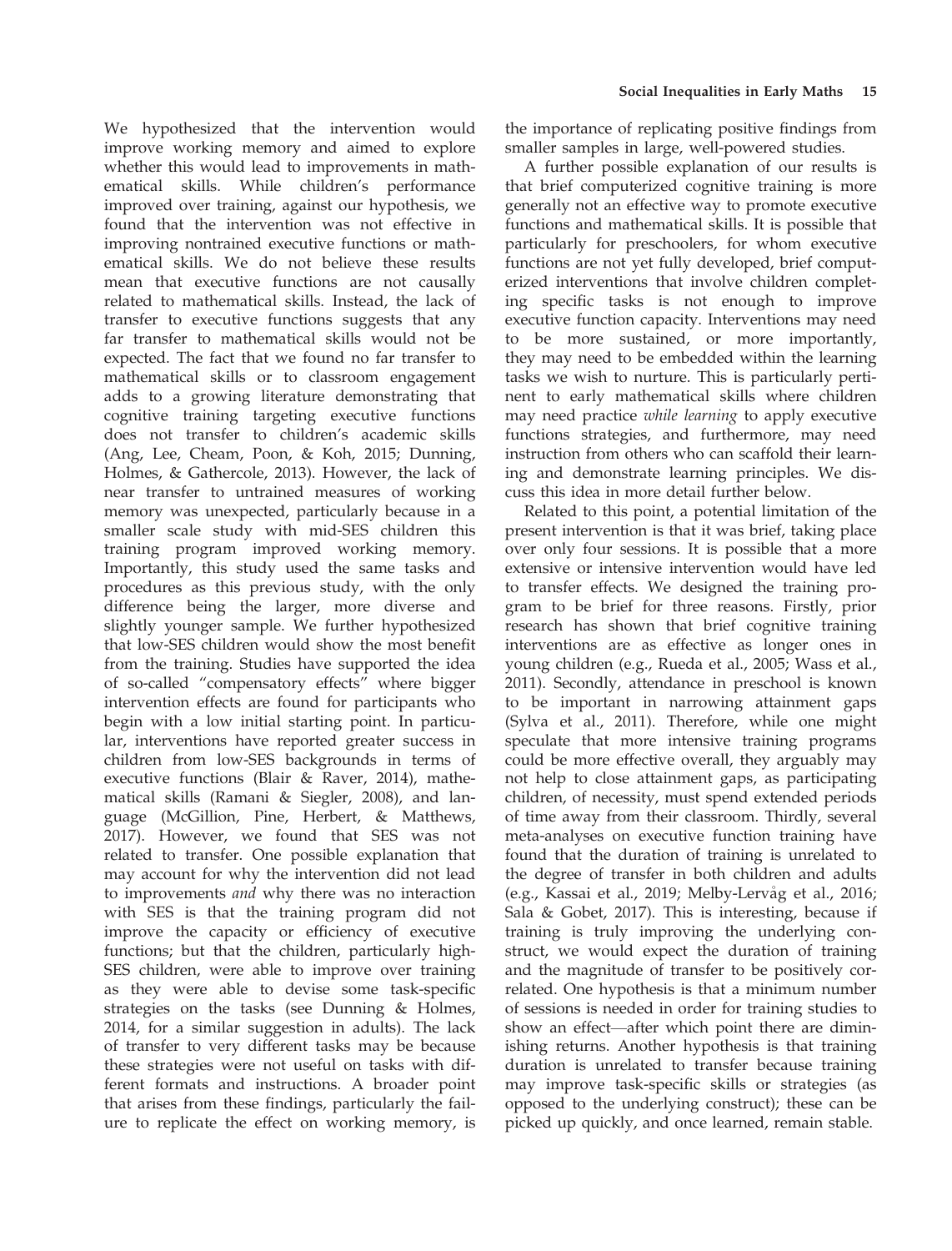We hypothesized that the intervention would improve working memory and aimed to explore whether this would lead to improvements in mathematical skills. While children's performance improved over training, against our hypothesis, we found that the intervention was not effective in improving nontrained executive functions or mathematical skills. We do not believe these results mean that executive functions are not causally related to mathematical skills. Instead, the lack of transfer to executive functions suggests that any far transfer to mathematical skills would not be expected. The fact that we found no far transfer to mathematical skills or to classroom engagement adds to a growing literature demonstrating that cognitive training targeting executive functions does not transfer to children's academic skills (Ang, Lee, Cheam, Poon, & Koh, 2015; Dunning, Holmes, & Gathercole, 2013). However, the lack of near transfer to untrained measures of working memory was unexpected, particularly because in a smaller scale study with mid-SES children this training program improved working memory. Importantly, this study used the same tasks and procedures as this previous study, with the only difference being the larger, more diverse and slightly younger sample. We further hypothesized that low-SES children would show the most benefit from the training. Studies have supported the idea of so-called "compensatory effects" where bigger intervention effects are found for participants who begin with a low initial starting point. In particular, interventions have reported greater success in children from low-SES backgrounds in terms of executive functions (Blair & Raver, 2014), mathematical skills (Ramani & Siegler, 2008), and language (McGillion, Pine, Herbert, & Matthews, 2017). However, we found that SES was not related to transfer. One possible explanation that may account for why the intervention did not lead to improvements and why there was no interaction with SES is that the training program did not improve the capacity or efficiency of executive functions; but that the children, particularly high-SES children, were able to improve over training as they were able to devise some task-specific strategies on the tasks (see Dunning & Holmes, 2014, for a similar suggestion in adults). The lack of transfer to very different tasks may be because these strategies were not useful on tasks with different formats and instructions. A broader point that arises from these findings, particularly the failure to replicate the effect on working memory, is

the importance of replicating positive findings from smaller samples in large, well-powered studies.

A further possible explanation of our results is that brief computerized cognitive training is more generally not an effective way to promote executive functions and mathematical skills. It is possible that particularly for preschoolers, for whom executive functions are not yet fully developed, brief computerized interventions that involve children completing specific tasks is not enough to improve executive function capacity. Interventions may need to be more sustained, or more importantly, they may need to be embedded within the learning tasks we wish to nurture. This is particularly pertinent to early mathematical skills where children may need practice while learning to apply executive functions strategies, and furthermore, may need instruction from others who can scaffold their learning and demonstrate learning principles. We discuss this idea in more detail further below.

Related to this point, a potential limitation of the present intervention is that it was brief, taking place over only four sessions. It is possible that a more extensive or intensive intervention would have led to transfer effects. We designed the training program to be brief for three reasons. Firstly, prior research has shown that brief cognitive training interventions are as effective as longer ones in young children (e.g., Rueda et al., 2005; Wass et al., 2011). Secondly, attendance in preschool is known to be important in narrowing attainment gaps (Sylva et al., 2011). Therefore, while one might speculate that more intensive training programs could be more effective overall, they arguably may not help to close attainment gaps, as participating children, of necessity, must spend extended periods of time away from their classroom. Thirdly, several meta-analyses on executive function training have found that the duration of training is unrelated to the degree of transfer in both children and adults (e.g., Kassai et al., 2019; Melby-Lervag et al., 2016; Sala & Gobet, 2017). This is interesting, because if training is truly improving the underlying construct, we would expect the duration of training and the magnitude of transfer to be positively correlated. One hypothesis is that a minimum number of sessions is needed in order for training studies to show an effect—after which point there are diminishing returns. Another hypothesis is that training duration is unrelated to transfer because training may improve task-specific skills or strategies (as opposed to the underlying construct); these can be picked up quickly, and once learned, remain stable.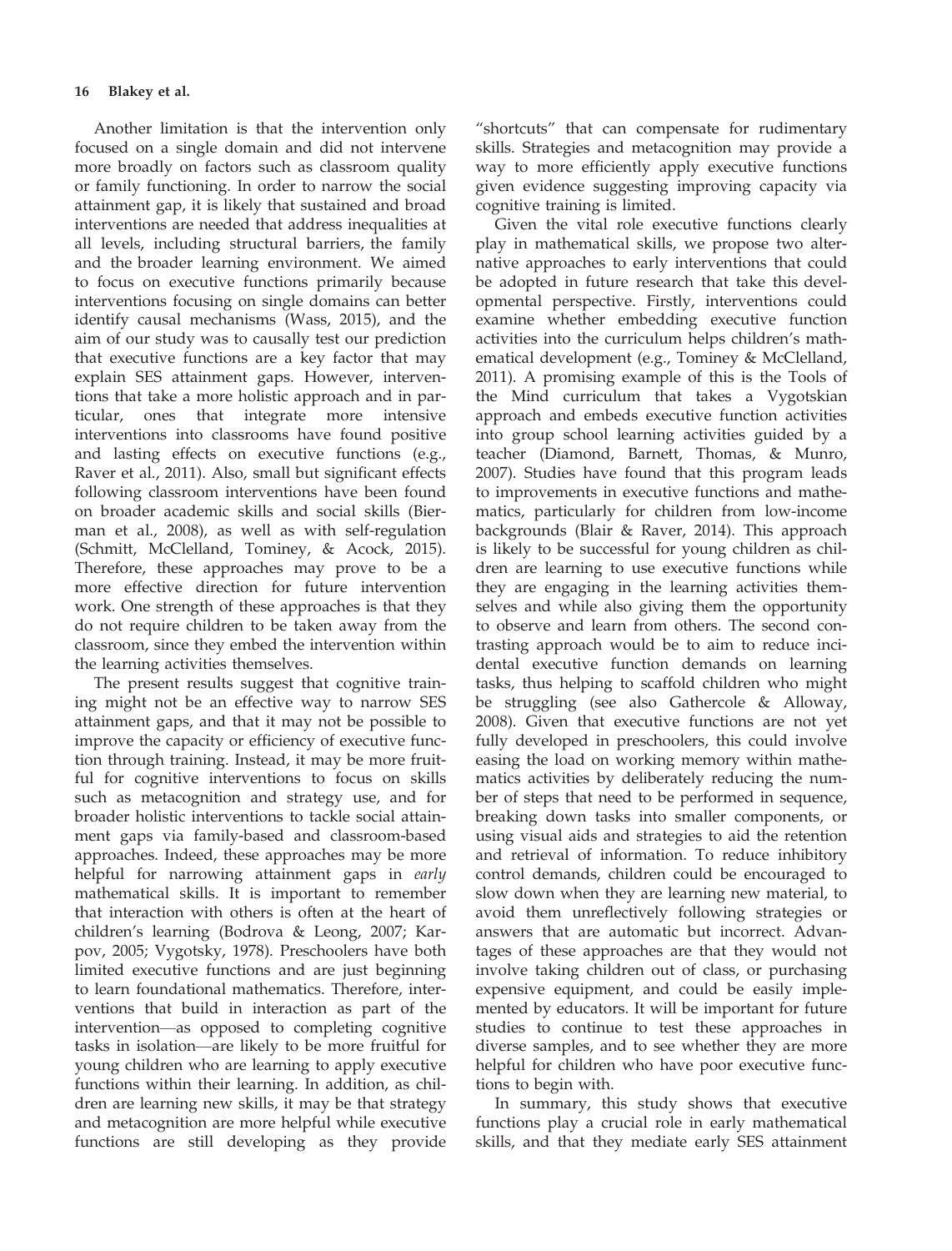Another limitation is that the intervention only focused on a single domain and did not intervene more broadly on factors such as classroom quality or family functioning. In order to narrow the social attainment gap, it is likely that sustained and broad interventions are needed that address inequalities at all levels, including structural barriers, the family and the broader learning environment. We aimed to focus on executive functions primarily because interventions focusing on single domains can better identify causal mechanisms (Wass, 2015), and the aim of our study was to causally test our prediction that executive functions are a key factor that may explain SES attainment gaps. However, interventions that take a more holistic approach and in particular, ones that integrate more intensive interventions into classrooms have found positive and lasting effects on executive functions (e.g., Raver et al., 2011). Also, small but significant effects following classroom interventions have been found on broader academic skills and social skills (Bierman et al., 2008), as well as with self-regulation (Schmitt, McClelland, Tominey, & Acock, 2015). Therefore, these approaches may prove to be a more effective direction for future intervention work. One strength of these approaches is that they do not require children to be taken away from the classroom, since they embed the intervention within the learning activities themselves.

The present results suggest that cognitive training might not be an effective way to narrow SES attainment gaps, and that it may not be possible to improve the capacity or efficiency of executive function through training. Instead, it may be more fruitful for cognitive interventions to focus on skills such as metacognition and strategy use, and for broader holistic interventions to tackle social attainment gaps via family-based and classroom-based approaches. Indeed, these approaches may be more helpful for narrowing attainment gaps in early mathematical skills. It is important to remember that interaction with others is often at the heart of children's learning (Bodrova & Leong, 2007; Karpov, 2005; Vygotsky, 1978). Preschoolers have both limited executive functions and are just beginning to learn foundational mathematics. Therefore, interventions that build in interaction as part of the intervention—as opposed to completing cognitive tasks in isolation—are likely to be more fruitful for young children who are learning to apply executive functions within their learning. In addition, as children are learning new skills, it may be that strategy and metacognition are more helpful while executive functions are still developing as they provide

"shortcuts" that can compensate for rudimentary skills. Strategies and metacognition may provide a way to more efficiently apply executive functions given evidence suggesting improving capacity via cognitive training is limited.

Given the vital role executive functions clearly play in mathematical skills, we propose two alternative approaches to early interventions that could be adopted in future research that take this developmental perspective. Firstly, interventions could examine whether embedding executive function activities into the curriculum helps children's mathematical development (e.g., Tominey & McClelland, 2011). A promising example of this is the Tools of the Mind curriculum that takes a Vygotskian approach and embeds executive function activities into group school learning activities guided by a teacher (Diamond, Barnett, Thomas, & Munro, 2007). Studies have found that this program leads to improvements in executive functions and mathematics, particularly for children from low-income backgrounds (Blair & Raver, 2014). This approach is likely to be successful for young children as children are learning to use executive functions while they are engaging in the learning activities themselves and while also giving them the opportunity to observe and learn from others. The second contrasting approach would be to aim to reduce incidental executive function demands on learning tasks, thus helping to scaffold children who might be struggling (see also Gathercole & Alloway, 2008). Given that executive functions are not yet fully developed in preschoolers, this could involve easing the load on working memory within mathematics activities by deliberately reducing the number of steps that need to be performed in sequence, breaking down tasks into smaller components, or using visual aids and strategies to aid the retention and retrieval of information. To reduce inhibitory control demands, children could be encouraged to slow down when they are learning new material, to avoid them unreflectively following strategies or answers that are automatic but incorrect. Advantages of these approaches are that they would not involve taking children out of class, or purchasing expensive equipment, and could be easily implemented by educators. It will be important for future studies to continue to test these approaches in diverse samples, and to see whether they are more helpful for children who have poor executive functions to begin with.

In summary, this study shows that executive functions play a crucial role in early mathematical skills, and that they mediate early SES attainment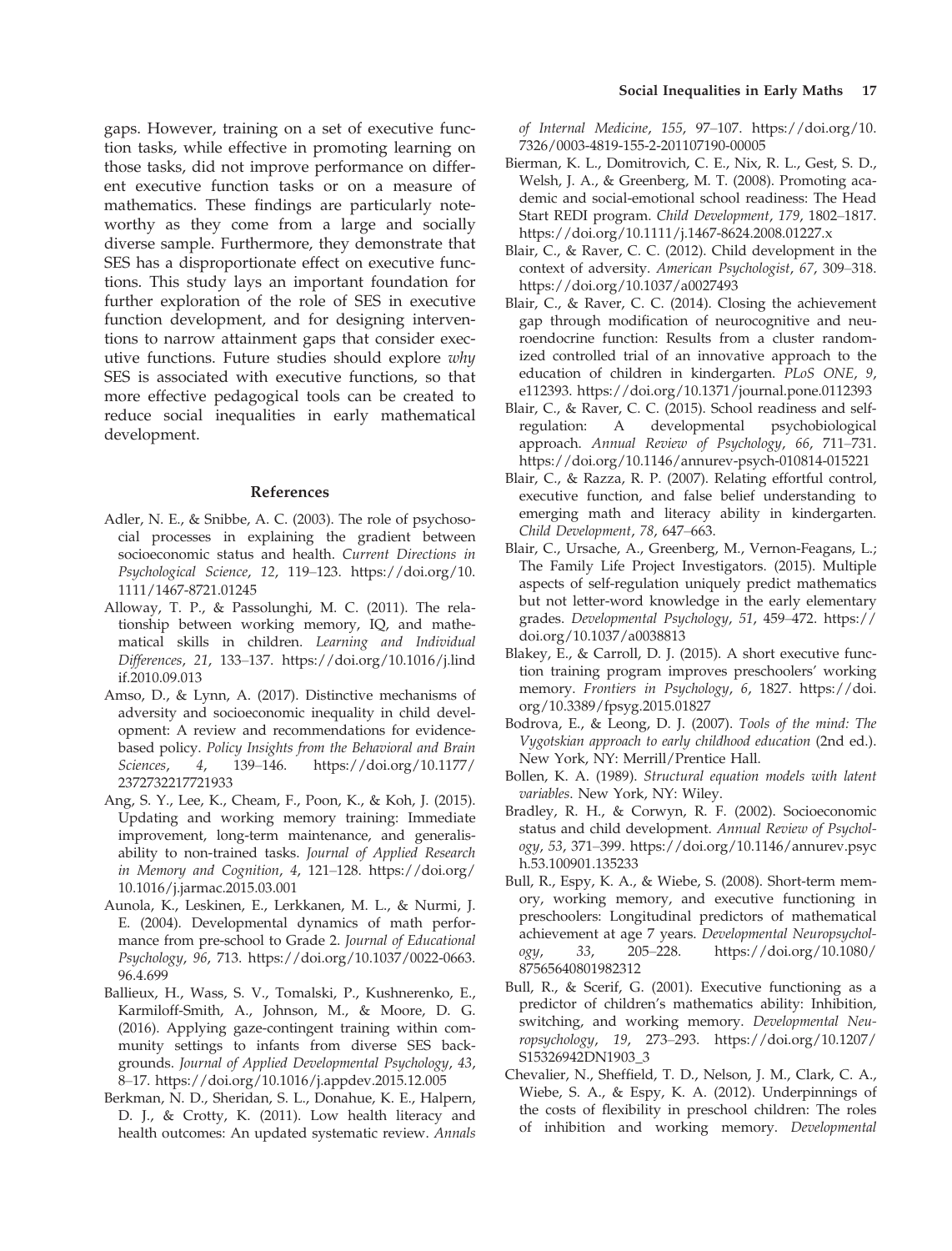gaps. However, training on a set of executive function tasks, while effective in promoting learning on those tasks, did not improve performance on different executive function tasks or on a measure of mathematics. These findings are particularly noteworthy as they come from a large and socially diverse sample. Furthermore, they demonstrate that SES has a disproportionate effect on executive functions. This study lays an important foundation for further exploration of the role of SES in executive function development, and for designing interventions to narrow attainment gaps that consider executive functions. Future studies should explore why SES is associated with executive functions, so that more effective pedagogical tools can be created to reduce social inequalities in early mathematical development.

#### References

- Adler, N. E., & Snibbe, A. C. (2003). The role of psychosocial processes in explaining the gradient between socioeconomic status and health. Current Directions in Psychological Science, 12, 119–123. [https://doi.org/10.](https://doi.org/10.1111/1467-8721.01245) [1111/1467-8721.01245](https://doi.org/10.1111/1467-8721.01245)
- Alloway, T. P., & Passolunghi, M. C. (2011). The relationship between working memory, IQ, and mathematical skills in children. Learning and Individual Differences, 21, 133–137. [https://doi.org/10.1016/j.lind](https://doi.org/10.1016/j.lindif.2010.09.013) [if.2010.09.013](https://doi.org/10.1016/j.lindif.2010.09.013)
- Amso, D., & Lynn, A. (2017). Distinctive mechanisms of adversity and socioeconomic inequality in child development: A review and recommendations for evidencebased policy. Policy Insights from the Behavioral and Brain Sciences, 4, 139–146. [https://doi.org/10.1177/](https://doi.org/10.1177/2372732217721933) [2372732217721933](https://doi.org/10.1177/2372732217721933)
- Ang, S. Y., Lee, K., Cheam, F., Poon, K., & Koh, J. (2015). Updating and working memory training: Immediate improvement, long-term maintenance, and generalisability to non-trained tasks. Journal of Applied Research in Memory and Cognition, 4, 121–128. [https://doi.org/](https://doi.org/10.1016/j.jarmac.2015.03.001) [10.1016/j.jarmac.2015.03.001](https://doi.org/10.1016/j.jarmac.2015.03.001)
- Aunola, K., Leskinen, E., Lerkkanen, M. L., & Nurmi, J. E. (2004). Developmental dynamics of math performance from pre-school to Grade 2. Journal of Educational Psychology, 96, 713. [https://doi.org/10.1037/0022-0663.](https://doi.org/10.1037/0022-0663.96.4.699) [96.4.699](https://doi.org/10.1037/0022-0663.96.4.699)
- Ballieux, H., Wass, S. V., Tomalski, P., Kushnerenko, E., Karmiloff-Smith, A., Johnson, M., & Moore, D. G. (2016). Applying gaze-contingent training within community settings to infants from diverse SES backgrounds. Journal of Applied Developmental Psychology, 43, 8–17.<https://doi.org/10.1016/j.appdev.2015.12.005>
- Berkman, N. D., Sheridan, S. L., Donahue, K. E., Halpern, D. J., & Crotty, K. (2011). Low health literacy and health outcomes: An updated systematic review. Annals

of Internal Medicine, 155, 97–107. [https://doi.org/10.](https://doi.org/10.7326/0003-4819-155-2-201107190-00005) [7326/0003-4819-155-2-201107190-00005](https://doi.org/10.7326/0003-4819-155-2-201107190-00005)

- Bierman, K. L., Domitrovich, C. E., Nix, R. L., Gest, S. D., Welsh, J. A., & Greenberg, M. T. (2008). Promoting academic and social-emotional school readiness: The Head Start REDI program. Child Development, 179, 1802–1817. <https://doi.org/10.1111/j.1467-8624.2008.01227.x>
- Blair, C., & Raver, C. C. (2012). Child development in the context of adversity. American Psychologist, 67, 309–318. <https://doi.org/10.1037/a0027493>
- Blair, C., & Raver, C. C. (2014). Closing the achievement gap through modification of neurocognitive and neuroendocrine function: Results from a cluster randomized controlled trial of an innovative approach to the education of children in kindergarten. PLoS ONE, 9, e112393.<https://doi.org/10.1371/journal.pone.0112393>
- Blair, C., & Raver, C. C. (2015). School readiness and selfregulation: A developmental psychobiological approach. Annual Review of Psychology, 66, 711–731. <https://doi.org/10.1146/annurev-psych-010814-015221>
- Blair, C., & Razza, R. P. (2007). Relating effortful control, executive function, and false belief understanding to emerging math and literacy ability in kindergarten. Child Development, 78, 647–663.
- Blair, C., Ursache, A., Greenberg, M., Vernon-Feagans, L.; The Family Life Project Investigators. (2015). Multiple aspects of self-regulation uniquely predict mathematics but not letter-word knowledge in the early elementary grades. Developmental Psychology, 51, 459–472. [https://](https://doi.org/10.1037/a0038813) [doi.org/10.1037/a0038813](https://doi.org/10.1037/a0038813)
- Blakey, E., & Carroll, D. J. (2015). A short executive function training program improves preschoolers' working memory. Frontiers in Psychology, 6, 1827. [https://doi.](https://doi.org/10.3389/fpsyg.2015.01827) [org/10.3389/fpsyg.2015.01827](https://doi.org/10.3389/fpsyg.2015.01827)
- Bodrova, E., & Leong, D. J. (2007). Tools of the mind: The Vygotskian approach to early childhood education (2nd ed.). New York, NY: Merrill/Prentice Hall.
- Bollen, K. A. (1989). Structural equation models with latent variables. New York, NY: Wiley.
- Bradley, R. H., & Corwyn, R. F. (2002). Socioeconomic status and child development. Annual Review of Psychology, 53, 371–399. [https://doi.org/10.1146/annurev.psyc](https://doi.org/10.1146/annurev.psych.53.100901.135233) [h.53.100901.135233](https://doi.org/10.1146/annurev.psych.53.100901.135233)
- Bull, R., Espy, K. A., & Wiebe, S. (2008). Short-term memory, working memory, and executive functioning in preschoolers: Longitudinal predictors of mathematical achievement at age 7 years. Developmental Neuropsychology, 33, 205–228. [https://doi.org/10.1080/](https://doi.org/10.1080/87565640801982312) [87565640801982312](https://doi.org/10.1080/87565640801982312)
- Bull, R., & Scerif, G. (2001). Executive functioning as a predictor of children's mathematics ability: Inhibition, switching, and working memory. Developmental Neuropsychology, 19, 273–293. [https://doi.org/10.1207/](https://doi.org/10.1207/S15326942DN1903_3) [S15326942DN1903\\_3](https://doi.org/10.1207/S15326942DN1903_3)
- Chevalier, N., Sheffield, T. D., Nelson, J. M., Clark, C. A., Wiebe, S. A., & Espy, K. A. (2012). Underpinnings of the costs of flexibility in preschool children: The roles of inhibition and working memory. Developmental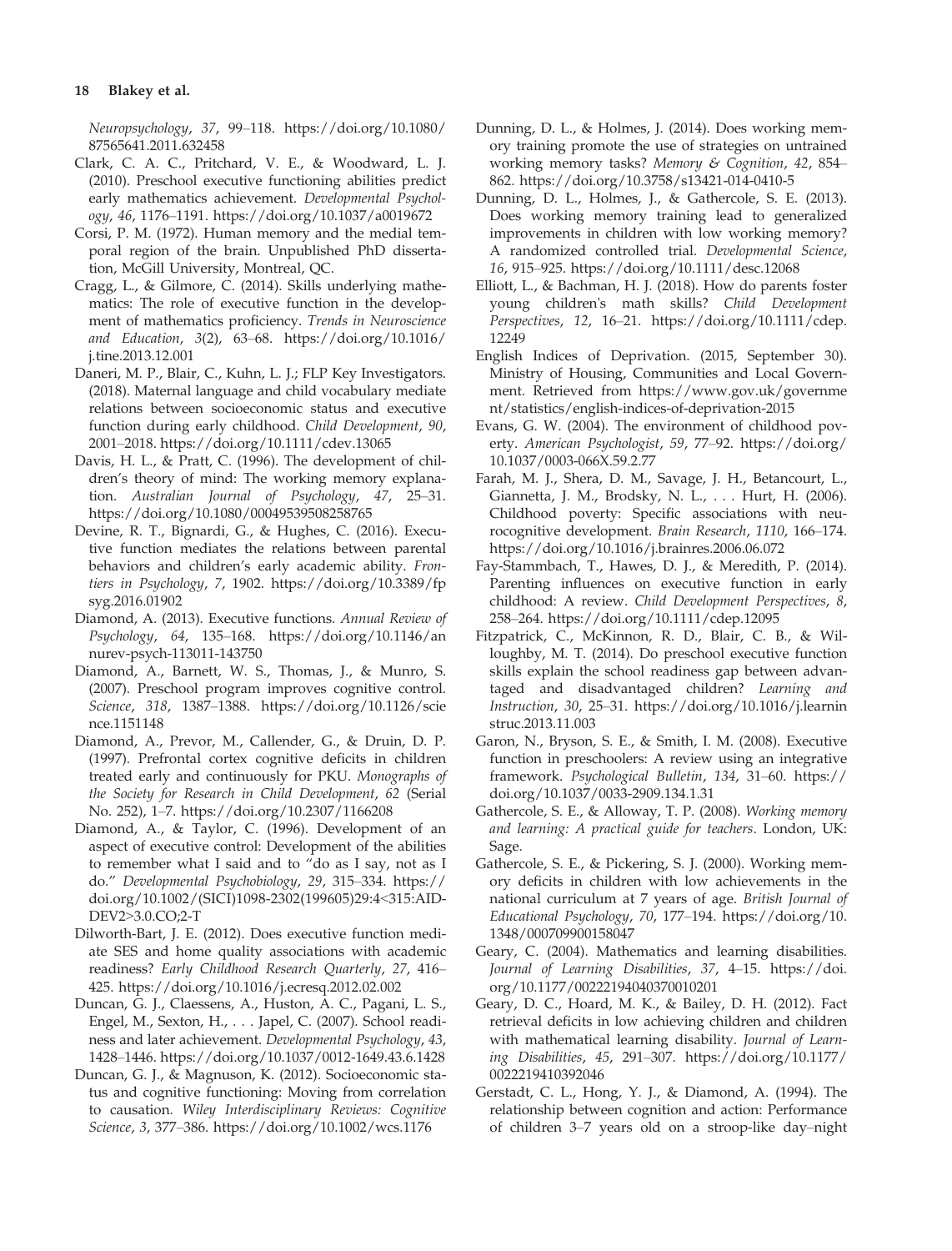### 18 Blakey et al.

Neuropsychology, 37, 99–118. [https://doi.org/10.1080/](https://doi.org/10.1080/87565641.2011.632458) [87565641.2011.632458](https://doi.org/10.1080/87565641.2011.632458)

- Clark, C. A. C., Pritchard, V. E., & Woodward, L. J. (2010). Preschool executive functioning abilities predict early mathematics achievement. Developmental Psychology, 46, 1176–1191.<https://doi.org/10.1037/a0019672>
- Corsi, P. M. (1972). Human memory and the medial temporal region of the brain. Unpublished PhD dissertation, McGill University, Montreal, QC.
- Cragg, L., & Gilmore, C. (2014). Skills underlying mathematics: The role of executive function in the development of mathematics proficiency. Trends in Neuroscience and Education, 3(2), 63–68. [https://doi.org/10.1016/](https://doi.org/10.1016/j.tine.2013.12.001) [j.tine.2013.12.001](https://doi.org/10.1016/j.tine.2013.12.001)
- Daneri, M. P., Blair, C., Kuhn, L. J.; FLP Key Investigators. (2018). Maternal language and child vocabulary mediate relations between socioeconomic status and executive function during early childhood. Child Development, 90, 2001–2018.<https://doi.org/10.1111/cdev.13065>
- Davis, H. L., & Pratt, C. (1996). The development of children's theory of mind: The working memory explanation. Australian Journal of Psychology, 47, 25–31. <https://doi.org/10.1080/00049539508258765>
- Devine, R. T., Bignardi, G., & Hughes, C. (2016). Executive function mediates the relations between parental behaviors and children's early academic ability. Frontiers in Psychology, 7, 1902. [https://doi.org/10.3389/fp](https://doi.org/10.3389/fpsyg.2016.01902) [syg.2016.01902](https://doi.org/10.3389/fpsyg.2016.01902)
- Diamond, A. (2013). Executive functions. Annual Review of Psychology, 64, 135–168. [https://doi.org/10.1146/an](https://doi.org/10.1146/annurev-psych-113011-143750) [nurev-psych-113011-143750](https://doi.org/10.1146/annurev-psych-113011-143750)
- Diamond, A., Barnett, W. S., Thomas, J., & Munro, S. (2007). Preschool program improves cognitive control. Science, 318, 1387–1388. [https://doi.org/10.1126/scie](https://doi.org/10.1126/science.1151148) [nce.1151148](https://doi.org/10.1126/science.1151148)
- Diamond, A., Prevor, M., Callender, G., & Druin, D. P. (1997). Prefrontal cortex cognitive deficits in children treated early and continuously for PKU. Monographs of the Society for Research in Child Development, 62 (Serial No. 252), 1–7.<https://doi.org/10.2307/1166208>
- Diamond, A., & Taylor, C. (1996). Development of an aspect of executive control: Development of the abilities to remember what I said and to "do as I say, not as I do." Developmental Psychobiology, 29, 315–334. [https://](https://doi.org/10.1002/(SICI)1098-2302(199605)29:4<315:AID-DEV2>3.0.CO;2-T) [doi.org/10.1002/\(SICI\)1098-2302\(199605\)29:4](https://doi.org/10.1002/(SICI)1098-2302(199605)29:4<315:AID-DEV2>3.0.CO;2-T)<315:AID-DEV2>[3.0.CO;2-T](https://doi.org/10.1002/(SICI)1098-2302(199605)29:4<315:AID-DEV2>3.0.CO;2-T)
- Dilworth-Bart, J. E. (2012). Does executive function mediate SES and home quality associations with academic readiness? Early Childhood Research Quarterly, 27, 416– 425.<https://doi.org/10.1016/j.ecresq.2012.02.002>
- Duncan, G. J., Claessens, A., Huston, A. C., Pagani, L. S., Engel, M., Sexton, H., . . . Japel, C. (2007). School readiness and later achievement. Developmental Psychology, 43, 1428–1446.<https://doi.org/10.1037/0012-1649.43.6.1428>
- Duncan, G. J., & Magnuson, K. (2012). Socioeconomic status and cognitive functioning: Moving from correlation to causation. Wiley Interdisciplinary Reviews: Cognitive Science, 3, 377–386.<https://doi.org/10.1002/wcs.1176>
- Dunning, D. L., & Holmes, J. (2014). Does working memory training promote the use of strategies on untrained working memory tasks? Memory & Cognition, 42, 854– 862.<https://doi.org/10.3758/s13421-014-0410-5>
- Dunning, D. L., Holmes, J., & Gathercole, S. E. (2013). Does working memory training lead to generalized improvements in children with low working memory? A randomized controlled trial. Developmental Science, 16, 915–925.<https://doi.org/10.1111/desc.12068>
- Elliott, L., & Bachman, H. J. (2018). How do parents foster young children's math skills? Child Development Perspectives, 12, 16–21. [https://doi.org/10.1111/cdep.](https://doi.org/10.1111/cdep.12249) [12249](https://doi.org/10.1111/cdep.12249)
- English Indices of Deprivation. (2015, September 30). Ministry of Housing, Communities and Local Government. Retrieved from [https://www.gov.uk/governme](https://www.gov.uk/government/statistics/english-indices-of-deprivation-2015) [nt/statistics/english-indices-of-deprivation-2015](https://www.gov.uk/government/statistics/english-indices-of-deprivation-2015)
- Evans, G. W. (2004). The environment of childhood poverty. American Psychologist, 59, 77–92. [https://doi.org/](https://doi.org/10.1037/0003-066X.59.2.77) [10.1037/0003-066X.59.2.77](https://doi.org/10.1037/0003-066X.59.2.77)
- Farah, M. J., Shera, D. M., Savage, J. H., Betancourt, L., Giannetta, J. M., Brodsky, N. L., . . . Hurt, H. (2006). Childhood poverty: Specific associations with neurocognitive development. Brain Research, 1110, 166–174. <https://doi.org/10.1016/j.brainres.2006.06.072>
- Fay-Stammbach, T., Hawes, D. J., & Meredith, P. (2014). Parenting influences on executive function in early childhood: A review. Child Development Perspectives, 8, 258–264.<https://doi.org/10.1111/cdep.12095>
- Fitzpatrick, C., McKinnon, R. D., Blair, C. B., & Willoughby, M. T. (2014). Do preschool executive function skills explain the school readiness gap between advantaged and disadvantaged children? Learning and Instruction, 30, 25–31. [https://doi.org/10.1016/j.learnin](https://doi.org/10.1016/j.learninstruc.2013.11.003) [struc.2013.11.003](https://doi.org/10.1016/j.learninstruc.2013.11.003)
- Garon, N., Bryson, S. E., & Smith, I. M. (2008). Executive function in preschoolers: A review using an integrative framework. Psychological Bulletin, 134, 31–60. [https://](https://doi.org/10.1037/0033-2909.134.1.31) [doi.org/10.1037/0033-2909.134.1.31](https://doi.org/10.1037/0033-2909.134.1.31)
- Gathercole, S. E., & Alloway, T. P. (2008). Working memory and learning: A practical guide for teachers. London, UK: Sage.
- Gathercole, S. E., & Pickering, S. J. (2000). Working memory deficits in children with low achievements in the national curriculum at 7 years of age. British Journal of Educational Psychology, 70, 177–194. [https://doi.org/10.](https://doi.org/10.1348/000709900158047) [1348/000709900158047](https://doi.org/10.1348/000709900158047)
- Geary, C. (2004). Mathematics and learning disabilities. Journal of Learning Disabilities, 37, 4–15. [https://doi.](https://doi.org/10.1177/00222194040370010201) [org/10.1177/00222194040370010201](https://doi.org/10.1177/00222194040370010201)
- Geary, D. C., Hoard, M. K., & Bailey, D. H. (2012). Fact retrieval deficits in low achieving children and children with mathematical learning disability. Journal of Learning Disabilities, 45, 291–307. [https://doi.org/10.1177/](https://doi.org/10.1177/0022219410392046) [0022219410392046](https://doi.org/10.1177/0022219410392046)
- Gerstadt, C. L., Hong, Y. J., & Diamond, A. (1994). The relationship between cognition and action: Performance of children 3–7 years old on a stroop-like day–night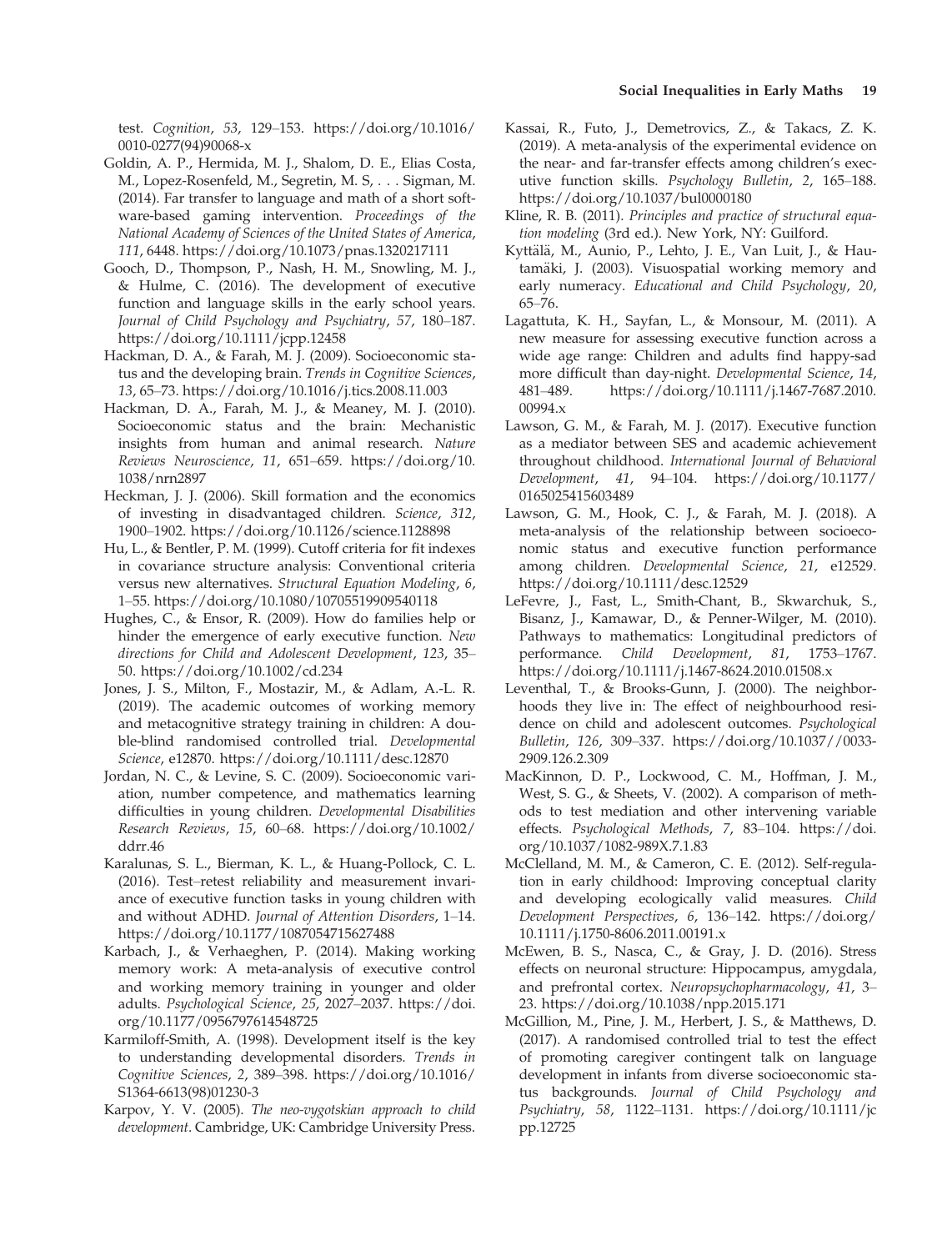test. Cognition, 53, 129–153. [https://doi.org/10.1016/](https://doi.org/10.1016/0010-0277(94)90068-x) [0010-0277\(94\)90068-x](https://doi.org/10.1016/0010-0277(94)90068-x)

- Goldin, A. P., Hermida, M. J., Shalom, D. E., Elias Costa, M., Lopez-Rosenfeld, M., Segretin, M. S, . . . Sigman, M. (2014). Far transfer to language and math of a short software-based gaming intervention. Proceedings of the National Academy of Sciences of the United States of America, 111, 6448.<https://doi.org/10.1073/pnas.1320217111>
- Gooch, D., Thompson, P., Nash, H. M., Snowling, M. J., & Hulme, C. (2016). The development of executive function and language skills in the early school years. Journal of Child Psychology and Psychiatry, 57, 180–187. <https://doi.org/10.1111/jcpp.12458>
- Hackman, D. A., & Farah, M. J. (2009). Socioeconomic status and the developing brain. Trends in Cognitive Sciences, 13, 65–73.<https://doi.org/10.1016/j.tics.2008.11.003>
- Hackman, D. A., Farah, M. J., & Meaney, M. J. (2010). Socioeconomic status and the brain: Mechanistic insights from human and animal research. Nature Reviews Neuroscience, 11, 651–659. [https://doi.org/10.](https://doi.org/10.1038/nrn2897) [1038/nrn2897](https://doi.org/10.1038/nrn2897)
- Heckman, J. J. (2006). Skill formation and the economics of investing in disadvantaged children. Science, 312, 1900–1902.<https://doi.org/10.1126/science.1128898>
- Hu, L., & Bentler, P. M. (1999). Cutoff criteria for fit indexes in covariance structure analysis: Conventional criteria versus new alternatives. Structural Equation Modeling, 6, 1–55.<https://doi.org/10.1080/10705519909540118>
- Hughes, C., & Ensor, R. (2009). How do families help or hinder the emergence of early executive function. New directions for Child and Adolescent Development, 123, 35– 50.<https://doi.org/10.1002/cd.234>
- Jones, J. S., Milton, F., Mostazir, M., & Adlam, A.-L. R. (2019). The academic outcomes of working memory and metacognitive strategy training in children: A double-blind randomised controlled trial. Developmental Science, e12870.<https://doi.org/10.1111/desc.12870>
- Jordan, N. C., & Levine, S. C. (2009). Socioeconomic variation, number competence, and mathematics learning difficulties in young children. Developmental Disabilities Research Reviews, 15, 60–68. [https://doi.org/10.1002/](https://doi.org/10.1002/ddrr.46) [ddrr.46](https://doi.org/10.1002/ddrr.46)
- Karalunas, S. L., Bierman, K. L., & Huang-Pollock, C. L. (2016). Test–retest reliability and measurement invariance of executive function tasks in young children with and without ADHD. Journal of Attention Disorders, 1–14. <https://doi.org/10.1177/1087054715627488>
- Karbach, J., & Verhaeghen, P. (2014). Making working memory work: A meta-analysis of executive control and working memory training in younger and older adults. Psychological Science, 25, 2027–2037. [https://doi.](https://doi.org/10.1177/0956797614548725) [org/10.1177/0956797614548725](https://doi.org/10.1177/0956797614548725)
- Karmiloff-Smith, A. (1998). Development itself is the key to understanding developmental disorders. Trends in Cognitive Sciences, 2, 389–398. [https://doi.org/10.1016/](https://doi.org/10.1016/S1364-6613(98)01230-3) [S1364-6613\(98\)01230-3](https://doi.org/10.1016/S1364-6613(98)01230-3)
- Karpov, Y. V. (2005). The neo-vygotskian approach to child development. Cambridge, UK: Cambridge University Press.
- Kassai, R., Futo, J., Demetrovics, Z., & Takacs, Z. K. (2019). A meta-analysis of the experimental evidence on the near- and far-transfer effects among children's executive function skills. Psychology Bulletin, 2, 165–188. <https://doi.org/10.1037/bul0000180>
- Kline, R. B. (2011). Principles and practice of structural equation modeling (3rd ed.). New York, NY: Guilford.
- Kyttälä, M., Aunio, P., Lehto, J. E., Van Luit, J., & Hautamäki, J. (2003). Visuospatial working memory and early numeracy. Educational and Child Psychology, 20, 65–76.
- Lagattuta, K. H., Sayfan, L., & Monsour, M. (2011). A new measure for assessing executive function across a wide age range: Children and adults find happy-sad more difficult than day-night. Developmental Science, 14, 481–489. [https://doi.org/10.1111/j.1467-7687.2010.](https://doi.org/10.1111/j.1467-7687.2010.00994.x) [00994.x](https://doi.org/10.1111/j.1467-7687.2010.00994.x)
- Lawson, G. M., & Farah, M. J. (2017). Executive function as a mediator between SES and academic achievement throughout childhood. International Journal of Behavioral Development, 41, 94–104. [https://doi.org/10.1177/](https://doi.org/10.1177/0165025415603489) [0165025415603489](https://doi.org/10.1177/0165025415603489)
- Lawson, G. M., Hook, C. J., & Farah, M. J. (2018). A meta-analysis of the relationship between socioeconomic status and executive function performance among children. Developmental Science, 21, e12529. <https://doi.org/10.1111/desc.12529>
- LeFevre, J., Fast, L., Smith-Chant, B., Skwarchuk, S., Bisanz, J., Kamawar, D., & Penner-Wilger, M. (2010). Pathways to mathematics: Longitudinal predictors of performance. Child Development, 81, 1753–1767. <https://doi.org/10.1111/j.1467-8624.2010.01508.x>
- Leventhal, T., & Brooks-Gunn, J. (2000). The neighborhoods they live in: The effect of neighbourhood residence on child and adolescent outcomes. Psychological Bulletin, 126, 309–337. [https://doi.org/10.1037//0033-](https://doi.org/10.1037//0033-2909.126.2.309) [2909.126.2.309](https://doi.org/10.1037//0033-2909.126.2.309)
- MacKinnon, D. P., Lockwood, C. M., Hoffman, J. M., West, S. G., & Sheets, V. (2002). A comparison of methods to test mediation and other intervening variable effects. Psychological Methods, 7, 83–104. [https://doi.](https://doi.org/10.1037/1082-989X.7.1.83) [org/10.1037/1082-989X.7.1.83](https://doi.org/10.1037/1082-989X.7.1.83)
- McClelland, M. M., & Cameron, C. E. (2012). Self-regulation in early childhood: Improving conceptual clarity and developing ecologically valid measures. Child Development Perspectives, 6, 136–142. [https://doi.org/](https://doi.org/10.1111/j.1750-8606.2011.00191.x) [10.1111/j.1750-8606.2011.00191.x](https://doi.org/10.1111/j.1750-8606.2011.00191.x)
- McEwen, B. S., Nasca, C., & Gray, J. D. (2016). Stress effects on neuronal structure: Hippocampus, amygdala, and prefrontal cortex. Neuropsychopharmacology, 41, 3– 23.<https://doi.org/10.1038/npp.2015.171>
- McGillion, M., Pine, J. M., Herbert, J. S., & Matthews, D. (2017). A randomised controlled trial to test the effect of promoting caregiver contingent talk on language development in infants from diverse socioeconomic status backgrounds. Journal of Child Psychology and Psychiatry, 58, 1122–1131. [https://doi.org/10.1111/jc](https://doi.org/10.1111/jcpp.12725) [pp.12725](https://doi.org/10.1111/jcpp.12725)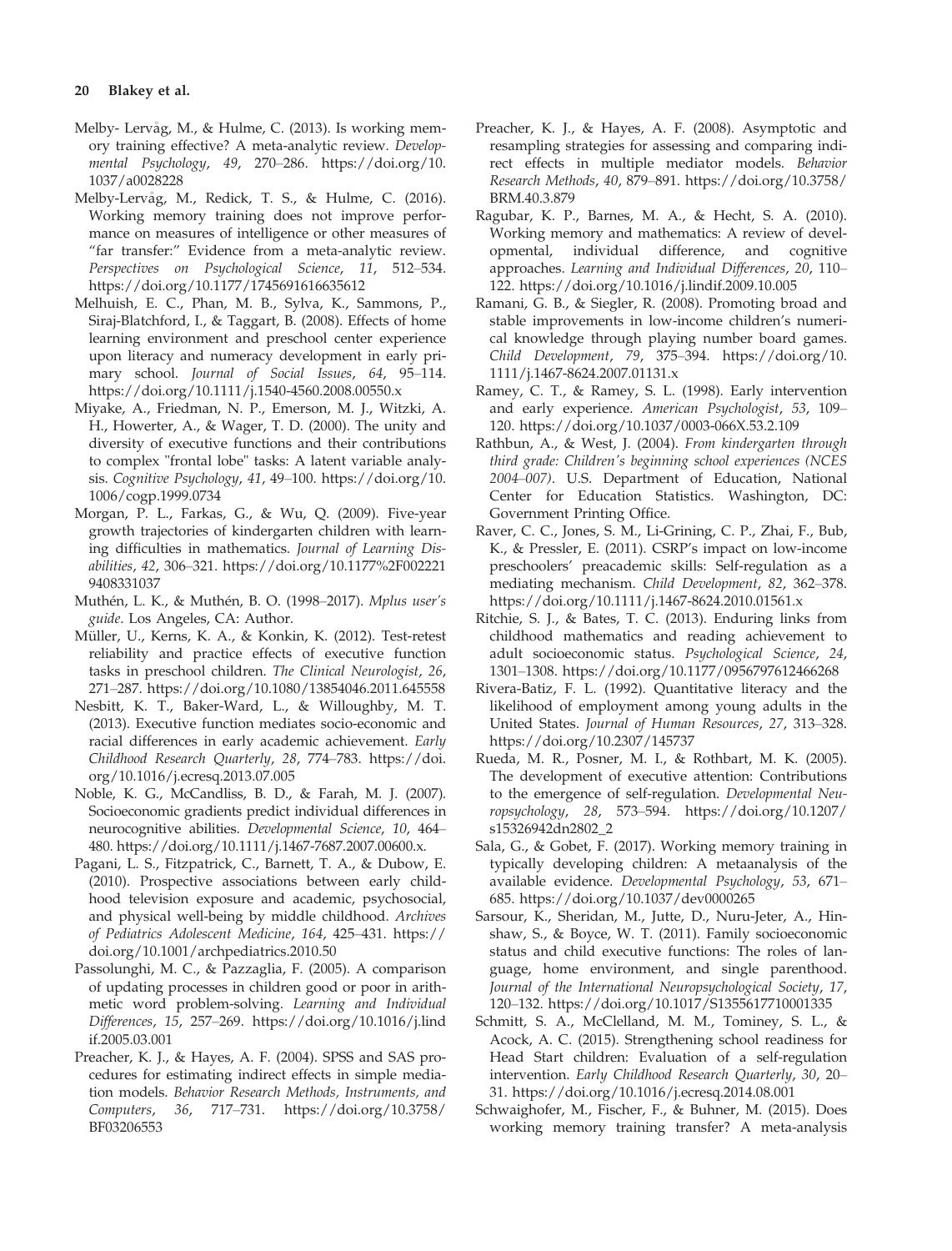- Melby- Lervåg, M., & Hulme, C. (2013). Is working memory training effective? A meta-analytic review. Developmental Psychology, 49, 270–286. [https://doi.org/10.](https://doi.org/10.1037/a0028228) [1037/a0028228](https://doi.org/10.1037/a0028228)
- Melby-Lervåg, M., Redick, T. S., & Hulme, C. (2016). Working memory training does not improve performance on measures of intelligence or other measures of "far transfer:" Evidence from a meta-analytic review. Perspectives on Psychological Science, 11, 512–534. <https://doi.org/10.1177/1745691616635612>
- Melhuish, E. C., Phan, M. B., Sylva, K., Sammons, P., Siraj-Blatchford, I., & Taggart, B. (2008). Effects of home learning environment and preschool center experience upon literacy and numeracy development in early primary school. Journal of Social Issues, 64, 95–114. <https://doi.org/10.1111/j.1540-4560.2008.00550.x>
- Miyake, A., Friedman, N. P., Emerson, M. J., Witzki, A. H., Howerter, A., & Wager, T. D. (2000). The unity and diversity of executive functions and their contributions to complex "frontal lobe" tasks: A latent variable analysis. Cognitive Psychology, 41, 49-100. [https://doi.org/10.](https://doi.org/10.1006/cogp.1999.0734) [1006/cogp.1999.0734](https://doi.org/10.1006/cogp.1999.0734)
- Morgan, P. L., Farkas, G., & Wu, Q. (2009). Five-year growth trajectories of kindergarten children with learning difficulties in mathematics. Journal of Learning Disabilities, 42, 306–321. [https://doi.org/10.1177%2F002221](https://doi.org/10.1177%252F0022219408331037) [9408331037](https://doi.org/10.1177%252F0022219408331037)
- Muthén, L. K., & Muthén, B. O. (1998-2017). Mplus user's guide. Los Angeles, CA: Author.
- Müller, U., Kerns, K. A., & Konkin, K. (2012). Test-retest reliability and practice effects of executive function tasks in preschool children. The Clinical Neurologist, 26, 271–287.<https://doi.org/10.1080/13854046.2011.645558>
- Nesbitt, K. T., Baker-Ward, L., & Willoughby, M. T. (2013). Executive function mediates socio-economic and racial differences in early academic achievement. Early Childhood Research Quarterly, 28, 774–783. [https://doi.](https://doi.org/10.1016/j.ecresq.2013.07.005) [org/10.1016/j.ecresq.2013.07.005](https://doi.org/10.1016/j.ecresq.2013.07.005)
- Noble, K. G., McCandliss, B. D., & Farah, M. J. (2007). Socioeconomic gradients predict individual differences in neurocognitive abilities. Developmental Science, 10, 464– 480. [https://doi.org/10.1111/j.1467-7687.2007.00600.x.](https://doi.org/10.1111/j.1467-7687.2007.00600.x)
- Pagani, L. S., Fitzpatrick, C., Barnett, T. A., & Dubow, E. (2010). Prospective associations between early childhood television exposure and academic, psychosocial, and physical well-being by middle childhood. Archives of Pediatrics Adolescent Medicine, 164, 425–431. [https://](https://doi.org/10.1001/archpediatrics.2010.50) [doi.org/10.1001/archpediatrics.2010.50](https://doi.org/10.1001/archpediatrics.2010.50)
- Passolunghi, M. C., & Pazzaglia, F. (2005). A comparison of updating processes in children good or poor in arithmetic word problem-solving. Learning and Individual Differences, 15, 257–269. [https://doi.org/10.1016/j.lind](https://doi.org/10.1016/j.lindif.2005.03.001) [if.2005.03.001](https://doi.org/10.1016/j.lindif.2005.03.001)
- Preacher, K. J., & Hayes, A. F. (2004). SPSS and SAS procedures for estimating indirect effects in simple mediation models. Behavior Research Methods, Instruments, and Computers, 36, 717–731. [https://doi.org/10.3758/](https://doi.org/10.3758/BF03206553) [BF03206553](https://doi.org/10.3758/BF03206553)
- Preacher, K. J., & Hayes, A. F. (2008). Asymptotic and resampling strategies for assessing and comparing indirect effects in multiple mediator models. Behavior Research Methods, 40, 879–891. [https://doi.org/10.3758/](https://doi.org/10.3758/BRM.40.3.879) [BRM.40.3.879](https://doi.org/10.3758/BRM.40.3.879)
- Ragubar, K. P., Barnes, M. A., & Hecht, S. A. (2010). Working memory and mathematics: A review of developmental, individual difference, and cognitive approaches. Learning and Individual Differences, 20, 110– 122.<https://doi.org/10.1016/j.lindif.2009.10.005>
- Ramani, G. B., & Siegler, R. (2008). Promoting broad and stable improvements in low-income children's numerical knowledge through playing number board games. Child Development, 79, 375–394. [https://doi.org/10.](https://doi.org/10.1111/j.1467-8624.2007.01131.x) [1111/j.1467-8624.2007.01131.x](https://doi.org/10.1111/j.1467-8624.2007.01131.x)
- Ramey, C. T., & Ramey, S. L. (1998). Early intervention and early experience. American Psychologist, 53, 109– 120.<https://doi.org/10.1037/0003-066X.53.2.109>
- Rathbun, A., & West, J. (2004). From kindergarten through third grade: Children's beginning school experiences (NCES 2004–007). U.S. Department of Education, National Center for Education Statistics. Washington, DC: Government Printing Office.
- Raver, C. C., Jones, S. M., Li-Grining, C. P., Zhai, F., Bub, K., & Pressler, E. (2011). CSRP's impact on low-income preschoolers' preacademic skills: Self-regulation as a mediating mechanism. Child Development, 82, 362–378. <https://doi.org/10.1111/j.1467-8624.2010.01561.x>
- Ritchie, S. J., & Bates, T. C. (2013). Enduring links from childhood mathematics and reading achievement to adult socioeconomic status. Psychological Science, 24, 1301–1308.<https://doi.org/10.1177/0956797612466268>
- Rivera-Batiz, F. L. (1992). Quantitative literacy and the likelihood of employment among young adults in the United States. Journal of Human Resources, 27, 313–328. <https://doi.org/10.2307/145737>
- Rueda, M. R., Posner, M. I., & Rothbart, M. K. (2005). The development of executive attention: Contributions to the emergence of self-regulation. Developmental Neuropsychology, 28, 573–594. [https://doi.org/10.1207/](https://doi.org/10.1207/s15326942dn2802_2) [s15326942dn2802\\_2](https://doi.org/10.1207/s15326942dn2802_2)
- Sala, G., & Gobet, F. (2017). Working memory training in typically developing children: A metaanalysis of the available evidence. Developmental Psychology, 53, 671– 685.<https://doi.org/10.1037/dev0000265>
- Sarsour, K., Sheridan, M., Jutte, D., Nuru-Jeter, A., Hinshaw, S., & Boyce, W. T. (2011). Family socioeconomic status and child executive functions: The roles of language, home environment, and single parenthood. Journal of the International Neuropsychological Society, 17, 120–132.<https://doi.org/10.1017/S1355617710001335>
- Schmitt, S. A., McClelland, M. M., Tominey, S. L., & Acock, A. C. (2015). Strengthening school readiness for Head Start children: Evaluation of a self-regulation intervention. Early Childhood Research Quarterly, 30, 20– 31.<https://doi.org/10.1016/j.ecresq.2014.08.001>
- Schwaighofer, M., Fischer, F., & Buhner, M. (2015). Does working memory training transfer? A meta-analysis